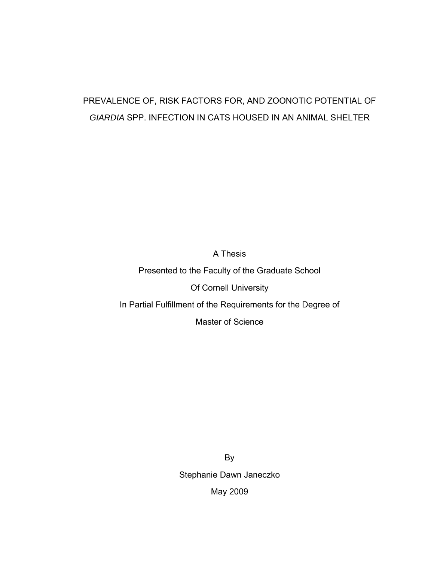# PREVALENCE OF, RISK FACTORS FOR, AND ZOONOTIC POTENTIAL OF *GIARDIA* SPP. INFECTION IN CATS HOUSED IN AN ANIMAL SHELTER

A Thesis

Presented to the Faculty of the Graduate School

Of Cornell University

In Partial Fulfillment of the Requirements for the Degree of

Master of Science

By Stephanie Dawn Janeczko May 2009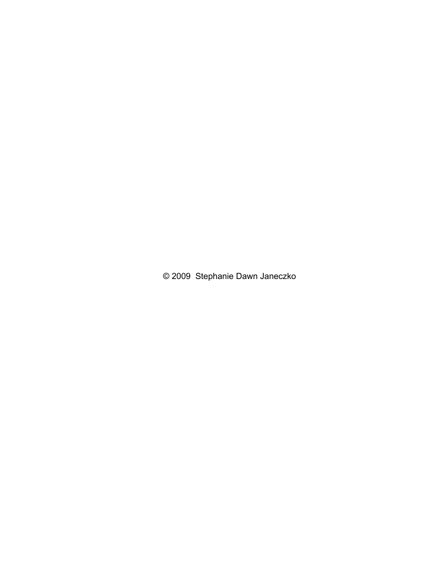© 2009 Stephanie Dawn Janeczko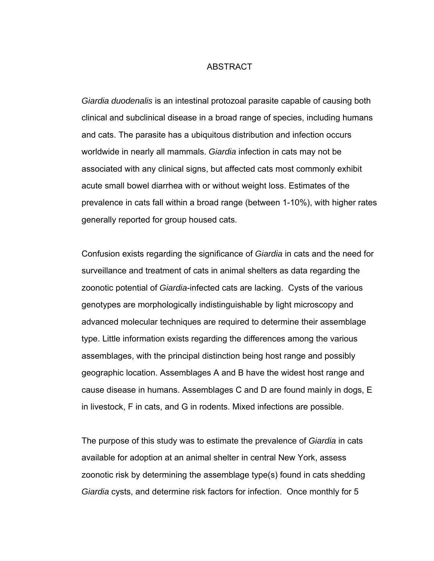#### ABSTRACT

*Giardia duodenalis* is an intestinal protozoal parasite capable of causing both clinical and subclinical disease in a broad range of species, including humans and cats. The parasite has a ubiquitous distribution and infection occurs worldwide in nearly all mammals. *Giardia* infection in cats may not be associated with any clinical signs, but affected cats most commonly exhibit acute small bowel diarrhea with or without weight loss. Estimates of the prevalence in cats fall within a broad range (between 1-10%), with higher rates generally reported for group housed cats.

Confusion exists regarding the significance of *Giardia* in cats and the need for surveillance and treatment of cats in animal shelters as data regarding the zoonotic potential of *Giardia*-infected cats are lacking. Cysts of the various genotypes are morphologically indistinguishable by light microscopy and advanced molecular techniques are required to determine their assemblage type. Little information exists regarding the differences among the various assemblages, with the principal distinction being host range and possibly geographic location. Assemblages A and B have the widest host range and cause disease in humans. Assemblages C and D are found mainly in dogs, E in livestock, F in cats, and G in rodents. Mixed infections are possible.

The purpose of this study was to estimate the prevalence of *Giardia* in cats available for adoption at an animal shelter in central New York, assess zoonotic risk by determining the assemblage type(s) found in cats shedding *Giardia* cysts, and determine risk factors for infection. Once monthly for 5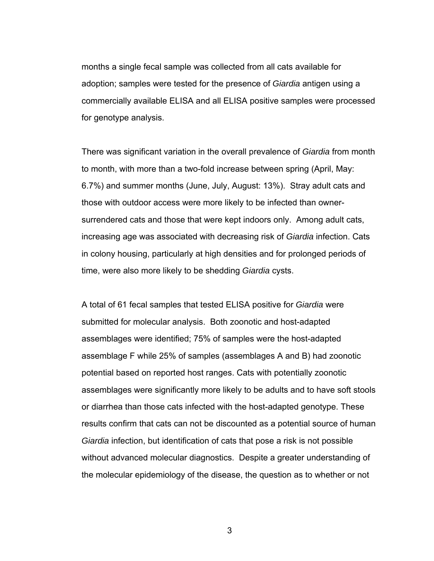months a single fecal sample was collected from all cats available for adoption; samples were tested for the presence of *Giardia* antigen using a commercially available ELISA and all ELISA positive samples were processed for genotype analysis.

There was significant variation in the overall prevalence of *Giardia* from month to month, with more than a two-fold increase between spring (April, May: 6.7%) and summer months (June, July, August: 13%). Stray adult cats and those with outdoor access were more likely to be infected than ownersurrendered cats and those that were kept indoors only. Among adult cats, increasing age was associated with decreasing risk of *Giardia* infection. Cats in colony housing, particularly at high densities and for prolonged periods of time, were also more likely to be shedding *Giardia* cysts.

A total of 61 fecal samples that tested ELISA positive for *Giardia* were submitted for molecular analysis. Both zoonotic and host-adapted assemblages were identified; 75% of samples were the host-adapted assemblage F while 25% of samples (assemblages A and B) had zoonotic potential based on reported host ranges. Cats with potentially zoonotic assemblages were significantly more likely to be adults and to have soft stools or diarrhea than those cats infected with the host-adapted genotype. These results confirm that cats can not be discounted as a potential source of human *Giardia* infection, but identification of cats that pose a risk is not possible without advanced molecular diagnostics. Despite a greater understanding of the molecular epidemiology of the disease, the question as to whether or not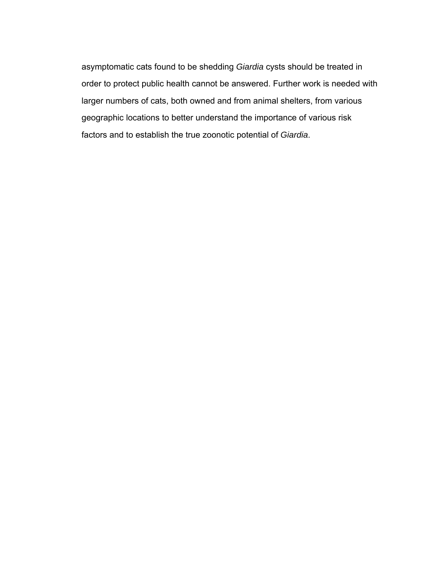asymptomatic cats found to be shedding *Giardia* cysts should be treated in order to protect public health cannot be answered. Further work is needed with larger numbers of cats, both owned and from animal shelters, from various geographic locations to better understand the importance of various risk factors and to establish the true zoonotic potential of *Giardia*.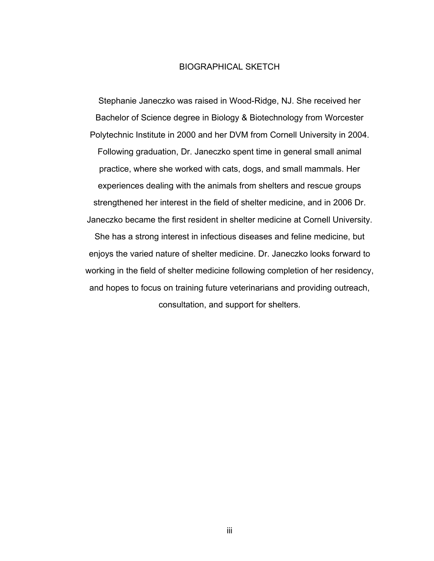# BIOGRAPHICAL SKETCH

Stephanie Janeczko was raised in Wood-Ridge, NJ. She received her Bachelor of Science degree in Biology & Biotechnology from Worcester Polytechnic Institute in 2000 and her DVM from Cornell University in 2004. Following graduation, Dr. Janeczko spent time in general small animal practice, where she worked with cats, dogs, and small mammals. Her experiences dealing with the animals from shelters and rescue groups strengthened her interest in the field of shelter medicine, and in 2006 Dr. Janeczko became the first resident in shelter medicine at Cornell University. She has a strong interest in infectious diseases and feline medicine, but enjoys the varied nature of shelter medicine. Dr. Janeczko looks forward to working in the field of shelter medicine following completion of her residency, and hopes to focus on training future veterinarians and providing outreach, consultation, and support for shelters.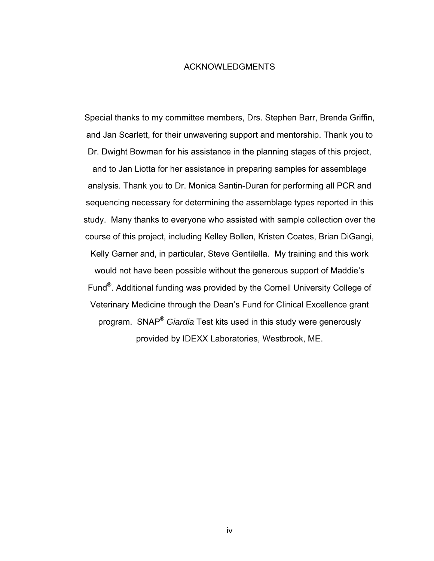#### ACKNOWLEDGMENTS

Special thanks to my committee members, Drs. Stephen Barr, Brenda Griffin, and Jan Scarlett, for their unwavering support and mentorship. Thank you to Dr. Dwight Bowman for his assistance in the planning stages of this project, and to Jan Liotta for her assistance in preparing samples for assemblage analysis. Thank you to Dr. Monica Santin-Duran for performing all PCR and sequencing necessary for determining the assemblage types reported in this study. Many thanks to everyone who assisted with sample collection over the course of this project, including Kelley Bollen, Kristen Coates, Brian DiGangi, Kelly Garner and, in particular, Steve Gentilella. My training and this work would not have been possible without the generous support of Maddie's Fund®. Additional funding was provided by the Cornell University College of Veterinary Medicine through the Dean's Fund for Clinical Excellence grant program. SNAP® *Giardia* Test kits used in this study were generously provided by IDEXX Laboratories, Westbrook, ME.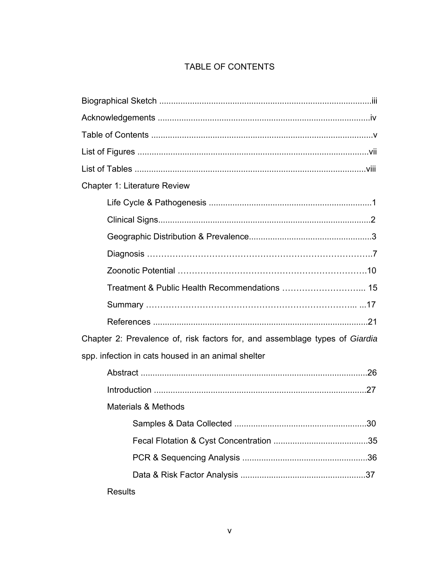# TABLE OF CONTENTS

| <b>Chapter 1: Literature Review</b>                                         |                                |  |  |
|-----------------------------------------------------------------------------|--------------------------------|--|--|
|                                                                             |                                |  |  |
|                                                                             |                                |  |  |
|                                                                             |                                |  |  |
|                                                                             |                                |  |  |
|                                                                             |                                |  |  |
|                                                                             |                                |  |  |
|                                                                             |                                |  |  |
|                                                                             |                                |  |  |
| Chapter 2: Prevalence of, risk factors for, and assemblage types of Giardia |                                |  |  |
| spp. infection in cats housed in an animal shelter                          |                                |  |  |
|                                                                             |                                |  |  |
|                                                                             |                                |  |  |
|                                                                             | <b>Materials &amp; Methods</b> |  |  |
|                                                                             |                                |  |  |
|                                                                             |                                |  |  |
|                                                                             |                                |  |  |
|                                                                             |                                |  |  |
|                                                                             | <b>Results</b>                 |  |  |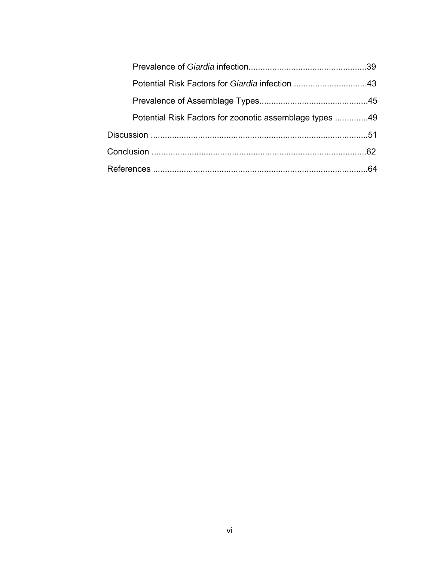| Potential Risk Factors for zoonotic assemblage types 49 |    |
|---------------------------------------------------------|----|
|                                                         |    |
|                                                         |    |
|                                                         | 64 |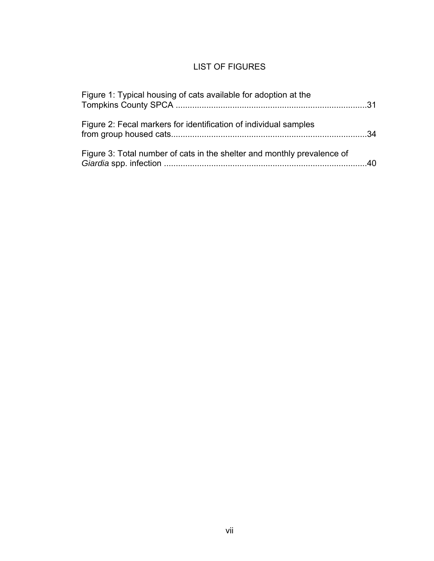# LIST OF FIGURES

| Figure 1: Typical housing of cats available for adoption at the         |  |
|-------------------------------------------------------------------------|--|
| Figure 2: Fecal markers for identification of individual samples        |  |
| Figure 3: Total number of cats in the shelter and monthly prevalence of |  |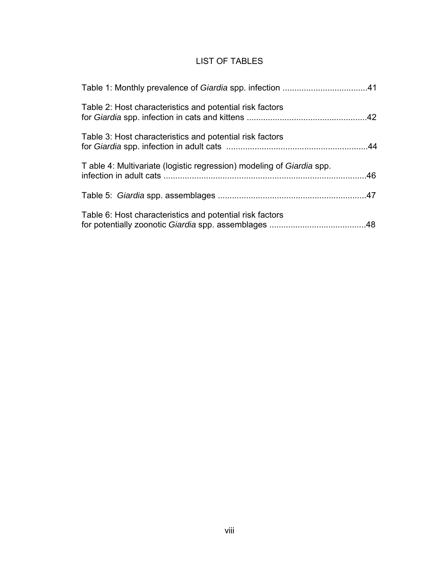# LIST OF TABLES

| Table 2: Host characteristics and potential risk factors              |  |
|-----------------------------------------------------------------------|--|
| Table 3: Host characteristics and potential risk factors              |  |
| T able 4: Multivariate (logistic regression) modeling of Giardia spp. |  |
|                                                                       |  |
| Table 6: Host characteristics and potential risk factors              |  |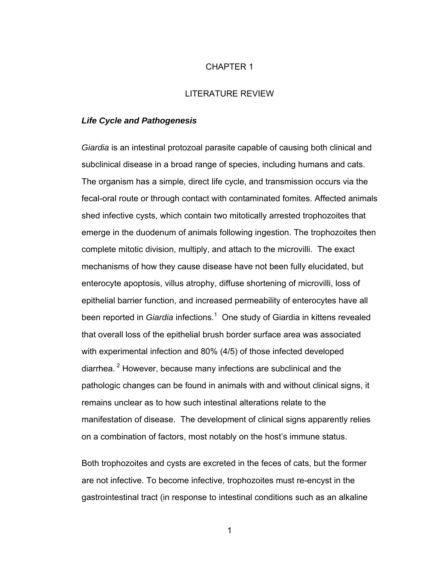### CHAPTER 1

#### LITERATURE REVIEW

#### *Life Cycle and Pathogenesis*

*Giardia* is an intestinal protozoal parasite capable of causing both clinical and subclinical disease in a broad range of species, including humans and cats. The organism has a simple, direct life cycle, and transmission occurs via the fecal-oral route or through contact with contaminated fomites. Affected animals shed infective cysts, which contain two mitotically arrested trophozoites that emerge in the duodenum of animals following ingestion. The trophozoites then complete mitotic division, multiply, and attach to the microvilli. The exact mechanisms of how they cause disease have not been fully elucidated, but enterocyte apoptosis, villus atrophy, diffuse shortening of microvilli, loss of epithelial barrier function, and increased permeability of enterocytes have all been reported in *Giardia* infections.<sup>1</sup> One study of Giardia in kittens revealed that overall loss of the epithelial brush border surface area was associated with experimental infection and 80% (4/5) of those infected developed diarrhea. 2 However, because many infections are subclinical and the pathologic changes can be found in animals with and without clinical signs, it remains unclear as to how such intestinal alterations relate to the manifestation of disease. The development of clinical signs apparently relies on a combination of factors, most notably on the host's immune status.

Both trophozoites and cysts are excreted in the feces of cats, but the former are not infective. To become infective, trophozoites must re-encyst in the gastrointestinal tract (in response to intestinal conditions such as an alkaline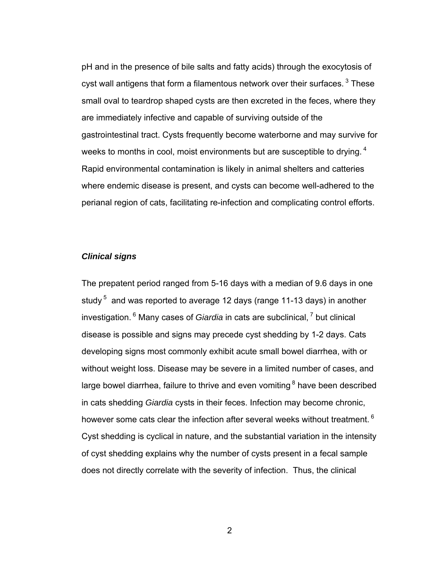pH and in the presence of bile salts and fatty acids) through the exocytosis of cyst wall antigens that form a filamentous network over their surfaces.<sup>3</sup> These small oval to teardrop shaped cysts are then excreted in the feces, where they are immediately infective and capable of surviving outside of the gastrointestinal tract. Cysts frequently become waterborne and may survive for weeks to months in cool, moist environments but are susceptible to drying. <sup>4</sup> Rapid environmental contamination is likely in animal shelters and catteries where endemic disease is present, and cysts can become well-adhered to the perianal region of cats, facilitating re-infection and complicating control efforts.

# *Clinical signs*

The prepatent period ranged from 5-16 days with a median of 9.6 days in one study  $5$  and was reported to average 12 days (range 11-13 days) in another investigation. 6 Many cases of *Giardia* in cats are subclinical, 7 but clinical disease is possible and signs may precede cyst shedding by 1-2 days. Cats developing signs most commonly exhibit acute small bowel diarrhea, with or without weight loss. Disease may be severe in a limited number of cases, and large bowel diarrhea, failure to thrive and even vomiting  $8$  have been described in cats shedding *Giardia* cysts in their feces. Infection may become chronic, however some cats clear the infection after several weeks without treatment.<sup>6</sup> Cyst shedding is cyclical in nature, and the substantial variation in the intensity of cyst shedding explains why the number of cysts present in a fecal sample does not directly correlate with the severity of infection. Thus, the clinical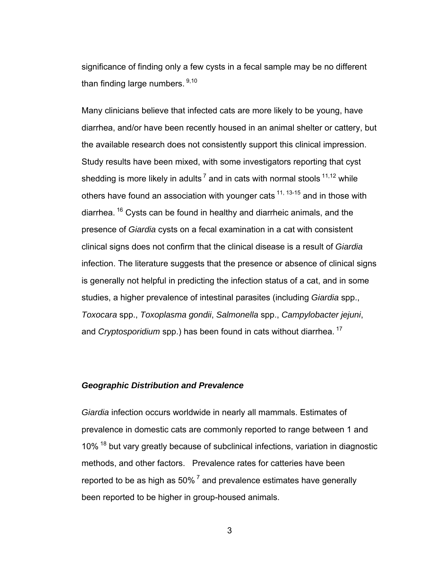significance of finding only a few cysts in a fecal sample may be no different than finding large numbers. 9,10

Many clinicians believe that infected cats are more likely to be young, have diarrhea, and/or have been recently housed in an animal shelter or cattery, but the available research does not consistently support this clinical impression. Study results have been mixed, with some investigators reporting that cyst shedding is more likely in adults<sup>7</sup> and in cats with normal stools  $11,12$  while others have found an association with younger cats  $11, 13$ -15 and in those with diarrhea. 16 Cysts can be found in healthy and diarrheic animals, and the presence of *Giardia* cysts on a fecal examination in a cat with consistent clinical signs does not confirm that the clinical disease is a result of *Giardia* infection. The literature suggests that the presence or absence of clinical signs is generally not helpful in predicting the infection status of a cat, and in some studies, a higher prevalence of intestinal parasites (including *Giardia* spp., *Toxocara* spp., *Toxoplasma gondii*, *Salmonella* spp., *Campylobacter jejuni*, and *Cryptosporidium* spp.) has been found in cats without diarrhea.<sup>17</sup>

# *Geographic Distribution and Prevalence*

*Giardia* infection occurs worldwide in nearly all mammals. Estimates of prevalence in domestic cats are commonly reported to range between 1 and 10% <sup>18</sup> but vary greatly because of subclinical infections, variation in diagnostic methods, and other factors. Prevalence rates for catteries have been reported to be as high as  $50\%$ <sup>7</sup> and prevalence estimates have generally been reported to be higher in group-housed animals.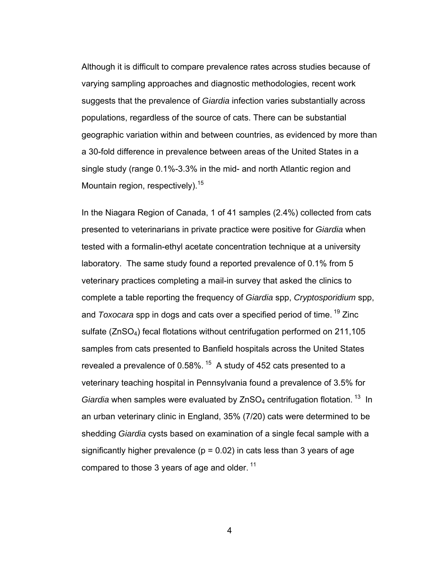Although it is difficult to compare prevalence rates across studies because of varying sampling approaches and diagnostic methodologies, recent work suggests that the prevalence of *Giardia* infection varies substantially across populations, regardless of the source of cats. There can be substantial geographic variation within and between countries, as evidenced by more than a 30-fold difference in prevalence between areas of the United States in a single study (range 0.1%-3.3% in the mid- and north Atlantic region and Mountain region, respectively).<sup>15</sup>

In the Niagara Region of Canada, 1 of 41 samples (2.4%) collected from cats presented to veterinarians in private practice were positive for *Giardia* when tested with a formalin-ethyl acetate concentration technique at a university laboratory. The same study found a reported prevalence of 0.1% from 5 veterinary practices completing a mail-in survey that asked the clinics to complete a table reporting the frequency of *Giardia* spp, *Cryptosporidium* spp, and *Toxocara* spp in dogs and cats over a specified period of time. 19 Zinc sulfate (ZnSO4) fecal flotations without centrifugation performed on 211,105 samples from cats presented to Banfield hospitals across the United States revealed a prevalence of 0.58%.<sup>15</sup> A study of 452 cats presented to a veterinary teaching hospital in Pennsylvania found a prevalence of 3.5% for *Giardia* when samples were evaluated by ZnSO<sub>4</sub> centrifugation flotation.<sup>13</sup> In an urban veterinary clinic in England, 35% (7/20) cats were determined to be shedding *Giardia* cysts based on examination of a single fecal sample with a significantly higher prevalence ( $p = 0.02$ ) in cats less than 3 years of age compared to those 3 years of age and older.<sup>11</sup>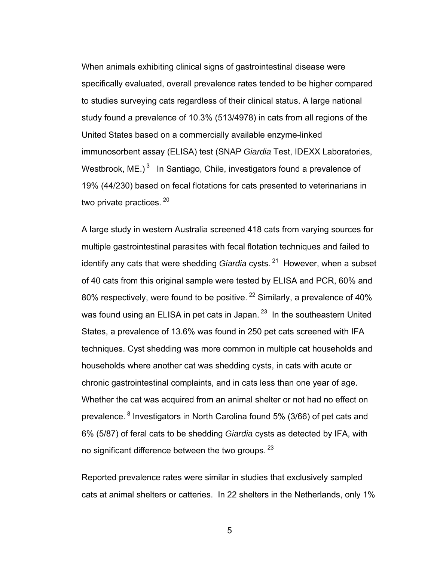When animals exhibiting clinical signs of gastrointestinal disease were specifically evaluated, overall prevalence rates tended to be higher compared to studies surveying cats regardless of their clinical status. A large national study found a prevalence of 10.3% (513/4978) in cats from all regions of the United States based on a commercially available enzyme-linked immunosorbent assay (ELISA) test (SNAP *Giardia* Test, IDEXX Laboratories, Westbrook,  $ME.$ )<sup>3</sup> In Santiago, Chile, investigators found a prevalence of 19% (44/230) based on fecal flotations for cats presented to veterinarians in two private practices.<sup>20</sup>

A large study in western Australia screened 418 cats from varying sources for multiple gastrointestinal parasites with fecal flotation techniques and failed to identify any cats that were shedding *Giardia* cysts.<sup>21</sup> However, when a subset of 40 cats from this original sample were tested by ELISA and PCR, 60% and 80% respectively, were found to be positive.  $22$  Similarly, a prevalence of 40% was found using an ELISA in pet cats in Japan.<sup>23</sup> In the southeastern United States, a prevalence of 13.6% was found in 250 pet cats screened with IFA techniques. Cyst shedding was more common in multiple cat households and households where another cat was shedding cysts, in cats with acute or chronic gastrointestinal complaints, and in cats less than one year of age. Whether the cat was acquired from an animal shelter or not had no effect on prevalence. <sup>8</sup> Investigators in North Carolina found 5% (3/66) of pet cats and 6% (5/87) of feral cats to be shedding *Giardia* cysts as detected by IFA, with no significant difference between the two groups.  $23$ 

Reported prevalence rates were similar in studies that exclusively sampled cats at animal shelters or catteries. In 22 shelters in the Netherlands, only 1%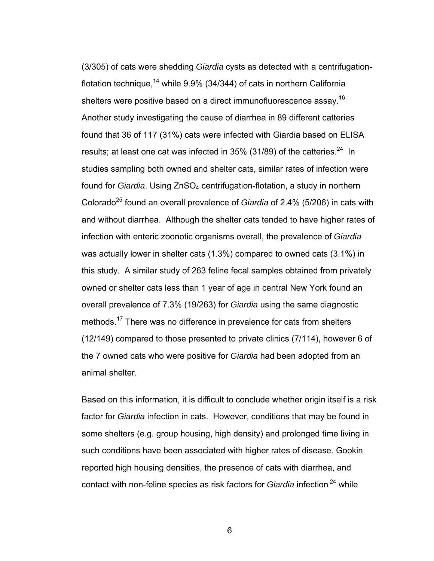(3/305) of cats were shedding *Giardia* cysts as detected with a centrifugationflotation technique,<sup>14</sup> while  $9.9\%$  (34/344) of cats in northern California shelters were positive based on a direct immunofluorescence assay.<sup>16</sup> Another study investigating the cause of diarrhea in 89 different catteries found that 36 of 117 (31%) cats were infected with Giardia based on ELISA results; at least one cat was infected in  $35\%$  (31/89) of the catteries.<sup>24</sup> In studies sampling both owned and shelter cats, similar rates of infection were found for *Giardia*. Using ZnSO<sub>4</sub> centrifugation-flotation, a study in northern Colorado25 found an overall prevalence of *Giardia* of 2.4% (5/206) in cats with and without diarrhea. Although the shelter cats tended to have higher rates of infection with enteric zoonotic organisms overall, the prevalence of *Giardia* was actually lower in shelter cats (1.3%) compared to owned cats (3.1%) in this study. A similar study of 263 feline fecal samples obtained from privately owned or shelter cats less than 1 year of age in central New York found an overall prevalence of 7.3% (19/263) for *Giardia* using the same diagnostic methods.17 There was no difference in prevalence for cats from shelters (12/149) compared to those presented to private clinics (7/114), however 6 of the 7 owned cats who were positive for *Giardia* had been adopted from an animal shelter.

Based on this information, it is difficult to conclude whether origin itself is a risk factor for *Giardia* infection in cats. However, conditions that may be found in some shelters (e.g. group housing, high density) and prolonged time living in such conditions have been associated with higher rates of disease. Gookin reported high housing densities, the presence of cats with diarrhea, and contact with non-feline species as risk factors for *Giardia* infection 24 while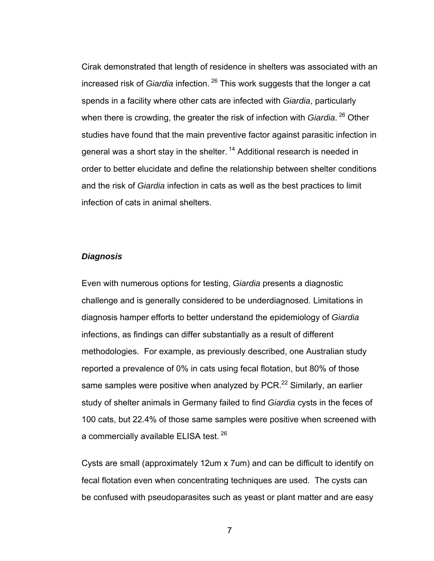Cirak demonstrated that length of residence in shelters was associated with an increased risk of *Giardia* infection. 26 This work suggests that the longer a cat spends in a facility where other cats are infected with *Giardia*, particularly when there is crowding, the greater the risk of infection with *Giardia*.<sup>26</sup> Other studies have found that the main preventive factor against parasitic infection in general was a short stay in the shelter.<sup>14</sup> Additional research is needed in order to better elucidate and define the relationship between shelter conditions and the risk of *Giardia* infection in cats as well as the best practices to limit infection of cats in animal shelters.

# *Diagnosis*

Even with numerous options for testing, *Giardia* presents a diagnostic challenge and is generally considered to be underdiagnosed. Limitations in diagnosis hamper efforts to better understand the epidemiology of *Giardia* infections, as findings can differ substantially as a result of different methodologies. For example, as previously described, one Australian study reported a prevalence of 0% in cats using fecal flotation, but 80% of those same samples were positive when analyzed by PCR.<sup>22</sup> Similarly, an earlier study of shelter animals in Germany failed to find *Giardia* cysts in the feces of 100 cats, but 22.4% of those same samples were positive when screened with a commercially available ELISA test. 26

Cysts are small (approximately 12um x 7um) and can be difficult to identify on fecal flotation even when concentrating techniques are used. The cysts can be confused with pseudoparasites such as yeast or plant matter and are easy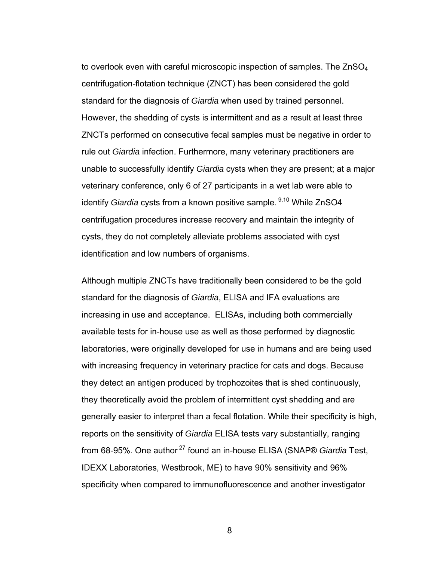to overlook even with careful microscopic inspection of samples. The ZnSO<sub>4</sub> centrifugation-flotation technique (ZNCT) has been considered the gold standard for the diagnosis of *Giardia* when used by trained personnel. However, the shedding of cysts is intermittent and as a result at least three ZNCTs performed on consecutive fecal samples must be negative in order to rule out *Giardia* infection. Furthermore, many veterinary practitioners are unable to successfully identify *Giardia* cysts when they are present; at a major veterinary conference, only 6 of 27 participants in a wet lab were able to identify *Giardia* cysts from a known positive sample. <sup>9,10</sup> While ZnSO4 centrifugation procedures increase recovery and maintain the integrity of cysts, they do not completely alleviate problems associated with cyst identification and low numbers of organisms.

Although multiple ZNCTs have traditionally been considered to be the gold standard for the diagnosis of *Giardia*, ELISA and IFA evaluations are increasing in use and acceptance. ELISAs, including both commercially available tests for in-house use as well as those performed by diagnostic laboratories, were originally developed for use in humans and are being used with increasing frequency in veterinary practice for cats and dogs. Because they detect an antigen produced by trophozoites that is shed continuously, they theoretically avoid the problem of intermittent cyst shedding and are generally easier to interpret than a fecal flotation. While their specificity is high, reports on the sensitivity of *Giardia* ELISA tests vary substantially, ranging from 68-95%. One author 27 found an in-house ELISA (SNAP® *Giardia* Test, IDEXX Laboratories, Westbrook, ME) to have 90% sensitivity and 96% specificity when compared to immunofluorescence and another investigator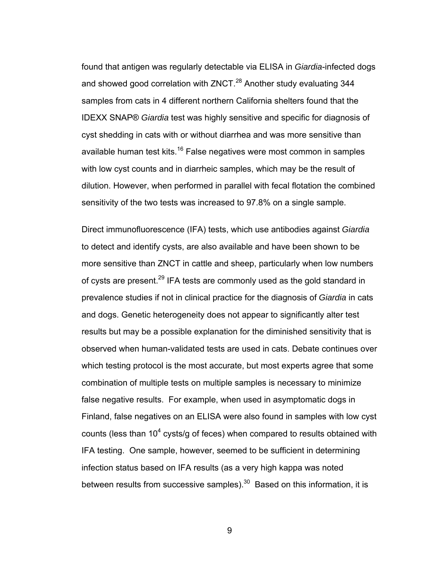found that antigen was regularly detectable via ELISA in *Giardia*-infected dogs and showed good correlation with ZNCT.<sup>28</sup> Another study evaluating 344 samples from cats in 4 different northern California shelters found that the IDEXX SNAP® *Giardia* test was highly sensitive and specific for diagnosis of cyst shedding in cats with or without diarrhea and was more sensitive than available human test kits.<sup>16</sup> False negatives were most common in samples with low cyst counts and in diarrheic samples, which may be the result of dilution. However, when performed in parallel with fecal flotation the combined sensitivity of the two tests was increased to 97.8% on a single sample.

Direct immunofluorescence (IFA) tests, which use antibodies against *Giardia* to detect and identify cysts, are also available and have been shown to be more sensitive than ZNCT in cattle and sheep, particularly when low numbers of cysts are present.<sup>29</sup> IFA tests are commonly used as the gold standard in prevalence studies if not in clinical practice for the diagnosis of *Giardia* in cats and dogs. Genetic heterogeneity does not appear to significantly alter test results but may be a possible explanation for the diminished sensitivity that is observed when human-validated tests are used in cats. Debate continues over which testing protocol is the most accurate, but most experts agree that some combination of multiple tests on multiple samples is necessary to minimize false negative results. For example, when used in asymptomatic dogs in Finland, false negatives on an ELISA were also found in samples with low cyst counts (less than 10<sup>4</sup> cysts/g of feces) when compared to results obtained with IFA testing. One sample, however, seemed to be sufficient in determining infection status based on IFA results (as a very high kappa was noted between results from successive samples). $30$  Based on this information, it is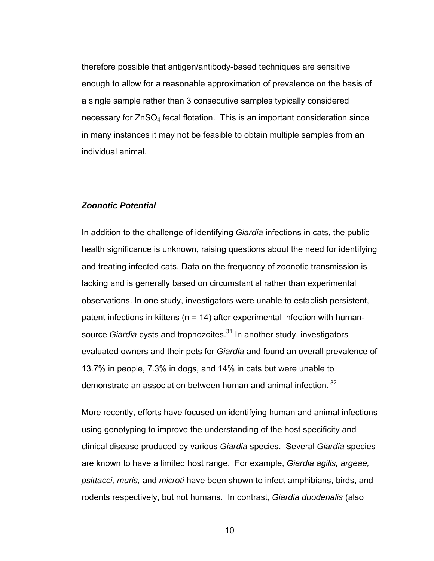therefore possible that antigen/antibody-based techniques are sensitive enough to allow for a reasonable approximation of prevalence on the basis of a single sample rather than 3 consecutive samples typically considered necessary for ZnSO4 fecal flotation. This is an important consideration since in many instances it may not be feasible to obtain multiple samples from an individual animal.

#### *Zoonotic Potential*

In addition to the challenge of identifying *Giardia* infections in cats, the public health significance is unknown, raising questions about the need for identifying and treating infected cats. Data on the frequency of zoonotic transmission is lacking and is generally based on circumstantial rather than experimental observations. In one study, investigators were unable to establish persistent, patent infections in kittens ( $n = 14$ ) after experimental infection with humansource *Giardia* cysts and trophozoites.<sup>31</sup> In another study, investigators evaluated owners and their pets for *Giardia* and found an overall prevalence of 13.7% in people, 7.3% in dogs, and 14% in cats but were unable to demonstrate an association between human and animal infection.<sup>32</sup>

More recently, efforts have focused on identifying human and animal infections using genotyping to improve the understanding of the host specificity and clinical disease produced by various *Giardia* species. Several *Giardia* species are known to have a limited host range. For example, *Giardia agilis, argeae, psittacci, muris,* and *microti* have been shown to infect amphibians, birds, and rodents respectively, but not humans. In contrast, *Giardia duodenalis* (also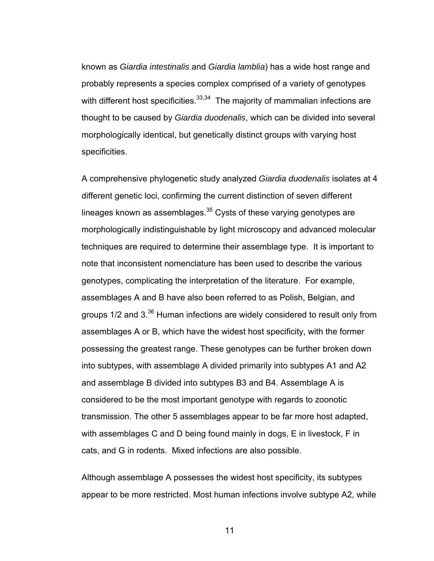known as *Giardia intestinalis* and *Giardia lamblia*) has a wide host range and probably represents a species complex comprised of a variety of genotypes with different host specificities. $33,34$  The majority of mammalian infections are thought to be caused by *Giardia duodenalis*, which can be divided into several morphologically identical, but genetically distinct groups with varying host specificities.

A comprehensive phylogenetic study analyzed *Giardia duodenalis* isolates at 4 different genetic loci, confirming the current distinction of seven different lineages known as assemblages.<sup>35</sup> Cysts of these varying genotypes are morphologically indistinguishable by light microscopy and advanced molecular techniques are required to determine their assemblage type. It is important to note that inconsistent nomenclature has been used to describe the various genotypes, complicating the interpretation of the literature. For example, assemblages A and B have also been referred to as Polish, Belgian, and groups 1/2 and 3.36 Human infections are widely considered to result only from assemblages A or B, which have the widest host specificity, with the former possessing the greatest range. These genotypes can be further broken down into subtypes, with assemblage A divided primarily into subtypes A1 and A2 and assemblage B divided into subtypes B3 and B4. Assemblage A is considered to be the most important genotype with regards to zoonotic transmission. The other 5 assemblages appear to be far more host adapted, with assemblages C and D being found mainly in dogs, E in livestock, F in cats, and G in rodents. Mixed infections are also possible.

Although assemblage A possesses the widest host specificity, its subtypes appear to be more restricted. Most human infections involve subtype A2, while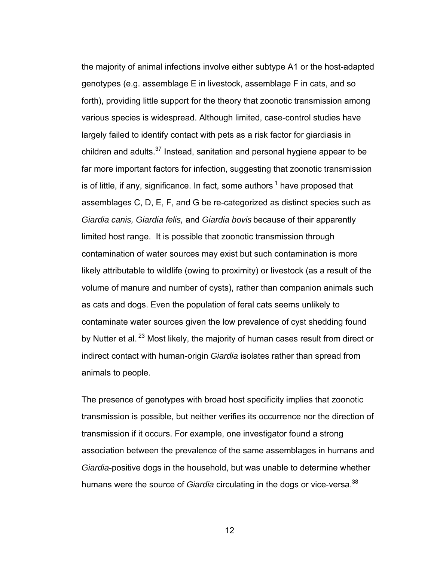the majority of animal infections involve either subtype A1 or the host-adapted genotypes (e.g. assemblage E in livestock, assemblage F in cats, and so forth), providing little support for the theory that zoonotic transmission among various species is widespread. Although limited, case-control studies have largely failed to identify contact with pets as a risk factor for giardiasis in children and adults. $37$  Instead, sanitation and personal hygiene appear to be far more important factors for infection, suggesting that zoonotic transmission is of little, if any, significance. In fact, some authors  $1$  have proposed that assemblages C, D, E, F, and G be re-categorized as distinct species such as *Giardia canis, Giardia felis,* and *Giardia bovis* because of their apparently limited host range. It is possible that zoonotic transmission through contamination of water sources may exist but such contamination is more likely attributable to wildlife (owing to proximity) or livestock (as a result of the volume of manure and number of cysts), rather than companion animals such as cats and dogs. Even the population of feral cats seems unlikely to contaminate water sources given the low prevalence of cyst shedding found by Nutter et al.<sup>23</sup> Most likely, the majority of human cases result from direct or indirect contact with human-origin *Giardia* isolates rather than spread from animals to people.

The presence of genotypes with broad host specificity implies that zoonotic transmission is possible, but neither verifies its occurrence nor the direction of transmission if it occurs. For example, one investigator found a strong association between the prevalence of the same assemblages in humans and *Giardia*-positive dogs in the household, but was unable to determine whether humans were the source of *Giardia* circulating in the dogs or vice-versa.<sup>38</sup>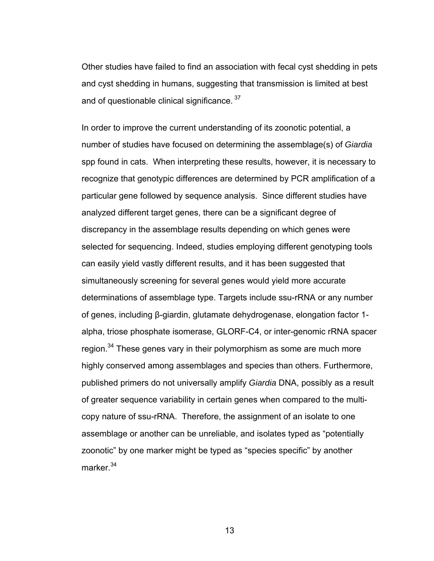Other studies have failed to find an association with fecal cyst shedding in pets and cyst shedding in humans, suggesting that transmission is limited at best and of questionable clinical significance. 37

In order to improve the current understanding of its zoonotic potential, a number of studies have focused on determining the assemblage(s) of *Giardia* spp found in cats. When interpreting these results, however, it is necessary to recognize that genotypic differences are determined by PCR amplification of a particular gene followed by sequence analysis. Since different studies have analyzed different target genes, there can be a significant degree of discrepancy in the assemblage results depending on which genes were selected for sequencing. Indeed, studies employing different genotyping tools can easily yield vastly different results, and it has been suggested that simultaneously screening for several genes would yield more accurate determinations of assemblage type. Targets include ssu-rRNA or any number of genes, including β-giardin, glutamate dehydrogenase, elongation factor 1 alpha, triose phosphate isomerase, GLORF-C4, or inter-genomic rRNA spacer region.34 These genes vary in their polymorphism as some are much more highly conserved among assemblages and species than others. Furthermore, published primers do not universally amplify *Giardia* DNA, possibly as a result of greater sequence variability in certain genes when compared to the multicopy nature of ssu-rRNA. Therefore, the assignment of an isolate to one assemblage or another can be unreliable, and isolates typed as "potentially zoonotic" by one marker might be typed as "species specific" by another marker.<sup>34</sup>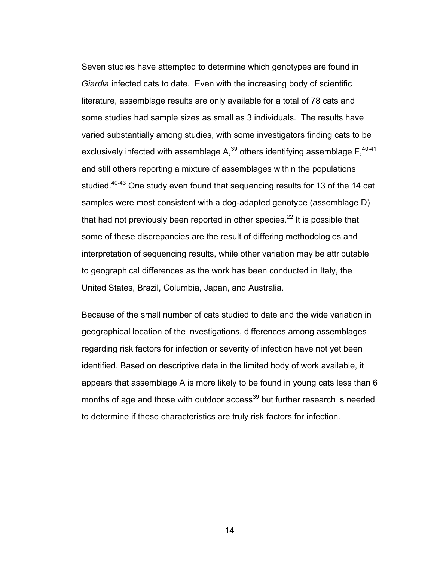Seven studies have attempted to determine which genotypes are found in *Giardia* infected cats to date. Even with the increasing body of scientific literature, assemblage results are only available for a total of 78 cats and some studies had sample sizes as small as 3 individuals. The results have varied substantially among studies, with some investigators finding cats to be exclusively infected with assemblage  $A$ ,<sup>39</sup> others identifying assemblage  $F$ ,  $40-41$ and still others reporting a mixture of assemblages within the populations studied.<sup>40-43</sup> One study even found that sequencing results for 13 of the 14 cat samples were most consistent with a dog-adapted genotype (assemblage D) that had not previously been reported in other species. $^{22}$  It is possible that some of these discrepancies are the result of differing methodologies and interpretation of sequencing results, while other variation may be attributable to geographical differences as the work has been conducted in Italy, the United States, Brazil, Columbia, Japan, and Australia.

Because of the small number of cats studied to date and the wide variation in geographical location of the investigations, differences among assemblages regarding risk factors for infection or severity of infection have not yet been identified. Based on descriptive data in the limited body of work available, it appears that assemblage A is more likely to be found in young cats less than 6 months of age and those with outdoor access<sup>39</sup> but further research is needed to determine if these characteristics are truly risk factors for infection.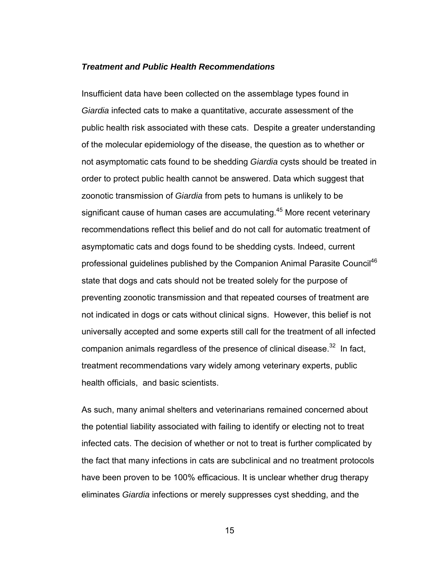#### *Treatment and Public Health Recommendations*

Insufficient data have been collected on the assemblage types found in *Giardia* infected cats to make a quantitative, accurate assessment of the public health risk associated with these cats. Despite a greater understanding of the molecular epidemiology of the disease, the question as to whether or not asymptomatic cats found to be shedding *Giardia* cysts should be treated in order to protect public health cannot be answered. Data which suggest that zoonotic transmission of *Giardia* from pets to humans is unlikely to be significant cause of human cases are accumulating.<sup>45</sup> More recent veterinary recommendations reflect this belief and do not call for automatic treatment of asymptomatic cats and dogs found to be shedding cysts. Indeed, current professional guidelines published by the Companion Animal Parasite Council<sup>46</sup> state that dogs and cats should not be treated solely for the purpose of preventing zoonotic transmission and that repeated courses of treatment are not indicated in dogs or cats without clinical signs. However, this belief is not universally accepted and some experts still call for the treatment of all infected companion animals regardless of the presence of clinical disease. $32$  In fact, treatment recommendations vary widely among veterinary experts, public health officials, and basic scientists.

As such, many animal shelters and veterinarians remained concerned about the potential liability associated with failing to identify or electing not to treat infected cats. The decision of whether or not to treat is further complicated by the fact that many infections in cats are subclinical and no treatment protocols have been proven to be 100% efficacious. It is unclear whether drug therapy eliminates *Giardia* infections or merely suppresses cyst shedding, and the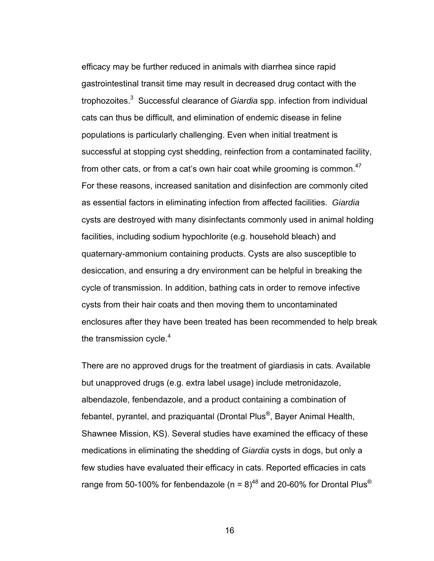efficacy may be further reduced in animals with diarrhea since rapid gastrointestinal transit time may result in decreased drug contact with the trophozoites.<sup>3</sup> Successful clearance of *Giardia* spp. infection from individual cats can thus be difficult, and elimination of endemic disease in feline populations is particularly challenging. Even when initial treatment is successful at stopping cyst shedding, reinfection from a contaminated facility, from other cats, or from a cat's own hair coat while grooming is common.<sup>47</sup> For these reasons, increased sanitation and disinfection are commonly cited as essential factors in eliminating infection from affected facilities. *Giardia* cysts are destroyed with many disinfectants commonly used in animal holding facilities, including sodium hypochlorite (e.g. household bleach) and quaternary-ammonium containing products. Cysts are also susceptible to desiccation, and ensuring a dry environment can be helpful in breaking the cycle of transmission. In addition, bathing cats in order to remove infective cysts from their hair coats and then moving them to uncontaminated enclosures after they have been treated has been recommended to help break the transmission cycle. $4$ 

There are no approved drugs for the treatment of giardiasis in cats. Available but unapproved drugs (e.g. extra label usage) include metronidazole, albendazole, fenbendazole, and a product containing a combination of febantel, pyrantel, and praziquantal (Drontal Plus®, Bayer Animal Health, Shawnee Mission, KS). Several studies have examined the efficacy of these medications in eliminating the shedding of *Giardia* cysts in dogs, but only a few studies have evaluated their efficacy in cats. Reported efficacies in cats range from 50-100% for fenbendazole (n =  $8)^{48}$  and 20-60% for Drontal Plus<sup>®</sup>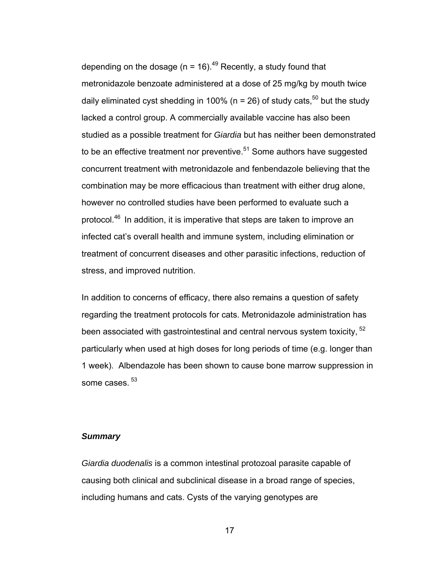depending on the dosage ( $n = 16$ ).<sup>49</sup> Recently, a study found that metronidazole benzoate administered at a dose of 25 mg/kg by mouth twice daily eliminated cyst shedding in 100% ( $n = 26$ ) of study cats,<sup>50</sup> but the study lacked a control group. A commercially available vaccine has also been studied as a possible treatment for *Giardia* but has neither been demonstrated to be an effective treatment nor preventive. $51$  Some authors have suggested concurrent treatment with metronidazole and fenbendazole believing that the combination may be more efficacious than treatment with either drug alone, however no controlled studies have been performed to evaluate such a protocol.46 In addition, it is imperative that steps are taken to improve an infected cat's overall health and immune system, including elimination or treatment of concurrent diseases and other parasitic infections, reduction of stress, and improved nutrition.

In addition to concerns of efficacy, there also remains a question of safety regarding the treatment protocols for cats. Metronidazole administration has been associated with gastrointestinal and central nervous system toxicity,  $52$ particularly when used at high doses for long periods of time (e.g. longer than 1 week). Albendazole has been shown to cause bone marrow suppression in some cases.<sup>53</sup>

# *Summary*

*Giardia duodenalis* is a common intestinal protozoal parasite capable of causing both clinical and subclinical disease in a broad range of species, including humans and cats. Cysts of the varying genotypes are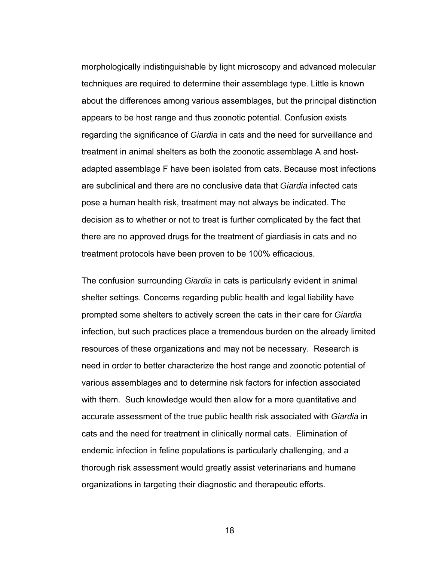morphologically indistinguishable by light microscopy and advanced molecular techniques are required to determine their assemblage type. Little is known about the differences among various assemblages, but the principal distinction appears to be host range and thus zoonotic potential. Confusion exists regarding the significance of *Giardia* in cats and the need for surveillance and treatment in animal shelters as both the zoonotic assemblage A and hostadapted assemblage F have been isolated from cats. Because most infections are subclinical and there are no conclusive data that *Giardia* infected cats pose a human health risk, treatment may not always be indicated. The decision as to whether or not to treat is further complicated by the fact that there are no approved drugs for the treatment of giardiasis in cats and no treatment protocols have been proven to be 100% efficacious.

The confusion surrounding *Giardia* in cats is particularly evident in animal shelter settings. Concerns regarding public health and legal liability have prompted some shelters to actively screen the cats in their care for *Giardia* infection, but such practices place a tremendous burden on the already limited resources of these organizations and may not be necessary. Research is need in order to better characterize the host range and zoonotic potential of various assemblages and to determine risk factors for infection associated with them. Such knowledge would then allow for a more quantitative and accurate assessment of the true public health risk associated with *Giardia* in cats and the need for treatment in clinically normal cats. Elimination of endemic infection in feline populations is particularly challenging, and a thorough risk assessment would greatly assist veterinarians and humane organizations in targeting their diagnostic and therapeutic efforts.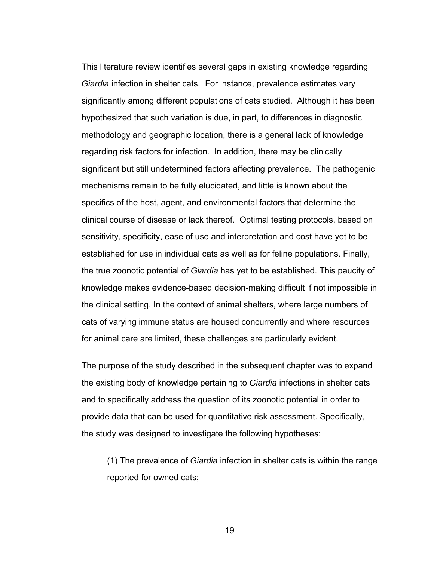This literature review identifies several gaps in existing knowledge regarding *Giardia* infection in shelter cats. For instance, prevalence estimates vary significantly among different populations of cats studied. Although it has been hypothesized that such variation is due, in part, to differences in diagnostic methodology and geographic location, there is a general lack of knowledge regarding risk factors for infection. In addition, there may be clinically significant but still undetermined factors affecting prevalence. The pathogenic mechanisms remain to be fully elucidated, and little is known about the specifics of the host, agent, and environmental factors that determine the clinical course of disease or lack thereof. Optimal testing protocols, based on sensitivity, specificity, ease of use and interpretation and cost have yet to be established for use in individual cats as well as for feline populations. Finally, the true zoonotic potential of *Giardia* has yet to be established. This paucity of knowledge makes evidence-based decision-making difficult if not impossible in the clinical setting. In the context of animal shelters, where large numbers of cats of varying immune status are housed concurrently and where resources for animal care are limited, these challenges are particularly evident.

The purpose of the study described in the subsequent chapter was to expand the existing body of knowledge pertaining to *Giardia* infections in shelter cats and to specifically address the question of its zoonotic potential in order to provide data that can be used for quantitative risk assessment. Specifically, the study was designed to investigate the following hypotheses:

(1) The prevalence of *Giardia* infection in shelter cats is within the range reported for owned cats;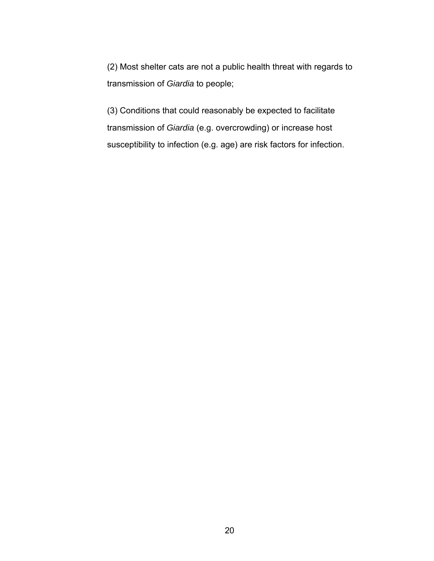(2) Most shelter cats are not a public health threat with regards to transmission of *Giardia* to people;

(3) Conditions that could reasonably be expected to facilitate transmission of *Giardia* (e.g. overcrowding) or increase host susceptibility to infection (e.g. age) are risk factors for infection.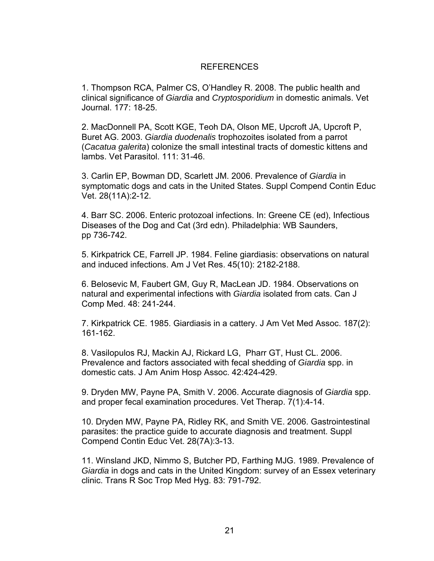# REFERENCES

1. Thompson RCA, Palmer CS, O'Handley R. 2008. The public health and clinical significance of *Giardia* and *Cryptosporidium* in domestic animals. Vet Journal. 177: 18-25.

2. MacDonnell PA, Scott KGE, Teoh DA, Olson ME, Upcroft JA, Upcroft P, Buret AG. 2003. *Giardia duodenalis* trophozoites isolated from a parrot (*Cacatua galerita*) colonize the small intestinal tracts of domestic kittens and lambs. Vet Parasitol. 111: 31-46.

3. Carlin EP, Bowman DD, Scarlett JM. 2006. Prevalence of *Giardia* in symptomatic dogs and cats in the United States. Suppl Compend Contin Educ Vet. 28(11A):2-12.

4. Barr SC. 2006. Enteric protozoal infections. In: Greene CE (ed), Infectious Diseases of the Dog and Cat (3rd edn). Philadelphia: WB Saunders, pp 736-742.

5. Kirkpatrick CE, Farrell JP. 1984. Feline giardiasis: observations on natural and induced infections. Am J Vet Res. 45(10): 2182-2188.

6. Belosevic M, Faubert GM, Guy R, MacLean JD. 1984. Observations on natural and experimental infections with *Giardia* isolated from cats. Can J Comp Med. 48: 241-244.

7. Kirkpatrick CE. 1985. Giardiasis in a cattery. J Am Vet Med Assoc. 187(2): 161-162.

8. Vasilopulos RJ, Mackin AJ, Rickard LG, Pharr GT, Hust CL. 2006. Prevalence and factors associated with fecal shedding of *Giardia* spp. in domestic cats. J Am Anim Hosp Assoc. 42:424-429.

9. Dryden MW, Payne PA, Smith V. 2006. Accurate diagnosis of *Giardia* spp. and proper fecal examination procedures. Vet Therap. 7(1):4-14.

10. Dryden MW, Payne PA, Ridley RK, and Smith VE. 2006. Gastrointestinal parasites: the practice guide to accurate diagnosis and treatment. Suppl Compend Contin Educ Vet. 28(7A):3-13.

11. Winsland JKD, Nimmo S, Butcher PD, Farthing MJG. 1989. Prevalence of *Giardia* in dogs and cats in the United Kingdom: survey of an Essex veterinary clinic. Trans R Soc Trop Med Hyg. 83: 791-792.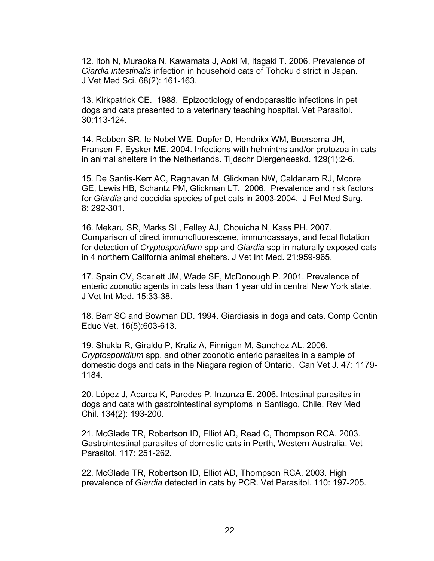12. Itoh N, Muraoka N, Kawamata J, Aoki M, Itagaki T. 2006. Prevalence of *Giardia intestinalis* infection in household cats of Tohoku district in Japan. J Vet Med Sci. 68(2): 161-163.

13. Kirkpatrick CE. 1988. Epizootiology of endoparasitic infections in pet dogs and cats presented to a veterinary teaching hospital. Vet Parasitol. 30:113-124.

14. Robben SR, le Nobel WE, Dopfer D, Hendrikx WM, Boersema JH, Fransen F, Eysker ME. 2004. Infections with helminths and/or protozoa in cats in animal shelters in the Netherlands. Tijdschr Diergeneeskd. 129(1):2-6.

15. De Santis-Kerr AC, Raghavan M, Glickman NW, Caldanaro RJ, Moore GE, Lewis HB, Schantz PM, Glickman LT. 2006. Prevalence and risk factors for *Giardia* and coccidia species of pet cats in 2003-2004. J Fel Med Surg. 8: 292-301.

16. Mekaru SR, Marks SL, Felley AJ, Chouicha N, Kass PH. 2007. Comparison of direct immunofluorescene, immunoassays, and fecal flotation for detection of *Cryptosporidium* spp and *Giardia* spp in naturally exposed cats in 4 northern California animal shelters. J Vet Int Med. 21:959-965.

17. Spain CV, Scarlett JM, Wade SE, McDonough P. 2001. Prevalence of enteric zoonotic agents in cats less than 1 year old in central New York state. J Vet Int Med. 15:33-38.

18. Barr SC and Bowman DD. 1994. Giardiasis in dogs and cats. Comp Contin Educ Vet. 16(5):603-613.

19. Shukla R, Giraldo P, Kraliz A, Finnigan M, Sanchez AL. 2006. *Cryptosporidium* spp. and other zoonotic enteric parasites in a sample of domestic dogs and cats in the Niagara region of Ontario. Can Vet J. 47: 1179- 1184.

20. López J, Abarca K, Paredes P, Inzunza E. 2006. Intestinal parasites in dogs and cats with gastrointestinal symptoms in Santiago, Chile. Rev Med Chil. 134(2): 193-200.

21. McGlade TR, Robertson ID, Elliot AD, Read C, Thompson RCA. 2003. Gastrointestinal parasites of domestic cats in Perth, Western Australia. Vet Parasitol. 117: 251-262.

22. McGlade TR, Robertson ID, Elliot AD, Thompson RCA. 2003. High prevalence of *Giardia* detected in cats by PCR. Vet Parasitol. 110: 197-205.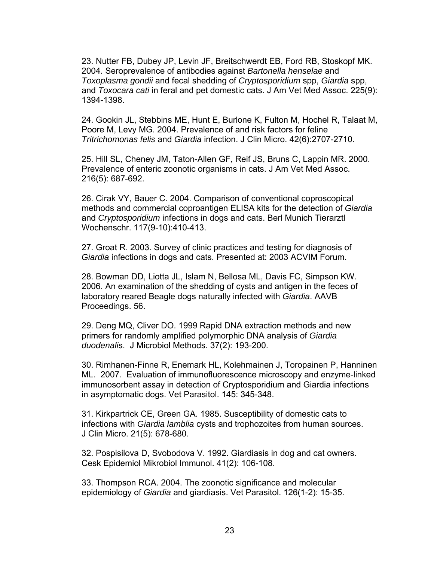23. Nutter FB, Dubey JP, Levin JF, Breitschwerdt EB, Ford RB, Stoskopf MK. 2004. Seroprevalence of antibodies against *Bartonella henselae* and *Toxoplasma gondii* and fecal shedding of *Cryptosporidium* spp, *Giardia* spp, and *Toxocara cati* in feral and pet domestic cats. J Am Vet Med Assoc. 225(9): 1394-1398.

24. Gookin JL, Stebbins ME, Hunt E, Burlone K, Fulton M, Hochel R, Talaat M, Poore M, Levy MG. 2004. Prevalence of and risk factors for feline *Tritrichomonas felis* and *Giardia* infection. J Clin Micro. 42(6):2707-2710.

25. Hill SL, Cheney JM, Taton-Allen GF, Reif JS, Bruns C, Lappin MR. 2000. Prevalence of enteric zoonotic organisms in cats. J Am Vet Med Assoc. 216(5): 687-692.

26. Cirak VY, Bauer C. 2004. Comparison of conventional coproscopical methods and commercial coproantigen ELISA kits for the detection of *Giardia* and *Cryptosporidium* infections in dogs and cats. Berl Munich Tierarztl Wochenschr. 117(9-10):410-413.

27. Groat R. 2003. Survey of clinic practices and testing for diagnosis of *Giardia* infections in dogs and cats. Presented at: 2003 ACVIM Forum.

28. Bowman DD, Liotta JL, Islam N, Bellosa ML, Davis FC, Simpson KW. 2006. An examination of the shedding of cysts and antigen in the feces of laboratory reared Beagle dogs naturally infected with *Giardia*. AAVB Proceedings. 56.

29. Deng MQ, Cliver DO. 1999 Rapid DNA extraction methods and new primers for randomly amplified polymorphic DNA analysis of *Giardia duodenali*s. J Microbiol Methods. 37(2): 193-200.

30. Rimhanen-Finne R, Enemark HL, Kolehmainen J, Toropainen P, Hanninen ML. 2007. Evaluation of immunofluorescence microscopy and enzyme-linked immunosorbent assay in detection of Cryptosporidium and Giardia infections in asymptomatic dogs. Vet Parasitol. 145: 345-348.

31. Kirkpartrick CE, Green GA. 1985. Susceptibility of domestic cats to infections with *Giardia lamblia* cysts and trophozoites from human sources. J Clin Micro. 21(5): 678-680.

32. Pospisilova D, Svobodova V. 1992. Giardiasis in dog and cat owners. Cesk Epidemiol Mikrobiol Immunol. 41(2): 106-108.

33. Thompson RCA. 2004. The zoonotic significance and molecular epidemiology of *Giardia* and giardiasis. Vet Parasitol. 126(1-2): 15-35.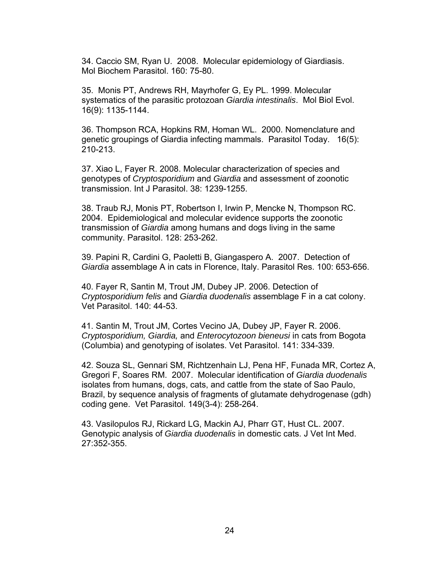34. Caccio SM, Ryan U. 2008. Molecular epidemiology of Giardiasis. Mol Biochem Parasitol. 160: 75-80.

35. Monis PT, Andrews RH, Mayrhofer G, Ey PL. 1999. Molecular systematics of the parasitic protozoan *Giardia intestinalis*. Mol Biol Evol. 16(9): 1135-1144.

36. Thompson RCA, Hopkins RM, Homan WL. 2000. Nomenclature and genetic groupings of Giardia infecting mammals. Parasitol Today. 16(5): 210-213.

37. Xiao L, Fayer R. 2008. Molecular characterization of species and genotypes of *Cryptosporidium* and *Giardia* and assessment of zoonotic transmission. Int J Parasitol. 38: 1239-1255.

38. Traub RJ, Monis PT, Robertson I, Irwin P, Mencke N, Thompson RC. 2004. Epidemiological and molecular evidence supports the zoonotic transmission of *Giardia* among humans and dogs living in the same community. Parasitol. 128: 253-262.

39. Papini R, Cardini G, Paoletti B, Giangaspero A. 2007. Detection of *Giardia* assemblage A in cats in Florence, Italy. Parasitol Res. 100: 653-656.

40. Fayer R, Santin M, Trout JM, Dubey JP. 2006. Detection of *Cryptosporidium felis* and *Giardia duodenalis* assemblage F in a cat colony. Vet Parasitol. 140: 44-53.

41. Santin M, Trout JM, Cortes Vecino JA, Dubey JP, Fayer R. 2006. *Cryptosporidium, Giardia,* and *Enterocytozoon bieneusi* in cats from Bogota (Columbia) and genotyping of isolates. Vet Parasitol. 141: 334-339.

42. Souza SL, Gennari SM, Richtzenhain LJ, Pena HF, Funada MR, Cortez A, Gregori F, Soares RM. 2007. Molecular identification of *Giardia duodenalis* isolates from humans, dogs, cats, and cattle from the state of Sao Paulo, Brazil, by sequence analysis of fragments of glutamate dehydrogenase (gdh) coding gene. Vet Parasitol. 149(3-4): 258-264.

43. Vasilopulos RJ, Rickard LG, Mackin AJ, Pharr GT, Hust CL. 2007. Genotypic analysis of *Giardia duodenalis* in domestic cats. J Vet Int Med. 27:352-355.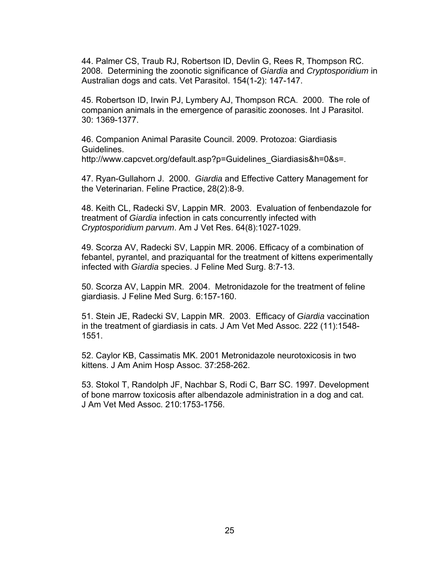44. Palmer CS, Traub RJ, Robertson ID, Devlin G, Rees R, Thompson RC. 2008. Determining the zoonotic significance of *Giardia* and *Cryptosporidium* in Australian dogs and cats. Vet Parasitol. 154(1-2): 147-147.

45. Robertson ID, Irwin PJ, Lymbery AJ, Thompson RCA. 2000. The role of companion animals in the emergence of parasitic zoonoses. Int J Parasitol. 30: 1369-1377.

46. Companion Animal Parasite Council. 2009. Protozoa: Giardiasis Guidelines. http://www.capcvet.org/default.asp?p=Guidelines\_Giardiasis&h=0&s=.

47. Ryan-Gullahorn J. 2000. *Giardia* and Effective Cattery Management for the Veterinarian. Feline Practice, 28(2):8-9.

48. Keith CL, Radecki SV, Lappin MR. 2003. Evaluation of fenbendazole for treatment of *Giardia* infection in cats concurrently infected with *Cryptosporidium parvum*. Am J Vet Res. 64(8):1027-1029.

49. Scorza AV, Radecki SV, Lappin MR. 2006. Efficacy of a combination of febantel, pyrantel, and praziquantal for the treatment of kittens experimentally infected with *Giardia* species. J Feline Med Surg. 8:7-13.

50. Scorza AV, Lappin MR. 2004. Metronidazole for the treatment of feline giardiasis. J Feline Med Surg. 6:157-160.

51. Stein JE, Radecki SV, Lappin MR. 2003. Efficacy of *Giardia* vaccination in the treatment of giardiasis in cats. J Am Vet Med Assoc. 222 (11):1548- 1551.

52. Caylor KB, Cassimatis MK. 2001 Metronidazole neurotoxicosis in two kittens. J Am Anim Hosp Assoc. 37:258-262.

53. Stokol T, Randolph JF, Nachbar S, Rodi C, Barr SC. 1997. Development of bone marrow toxicosis after albendazole administration in a dog and cat. J Am Vet Med Assoc. 210:1753-1756.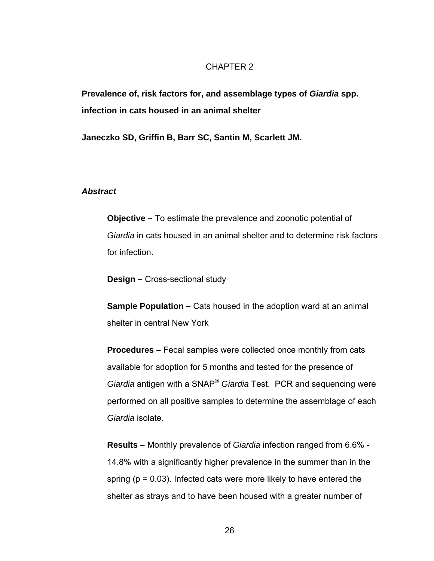## CHAPTER 2

**Prevalence of, risk factors for, and assemblage types of** *Giardia* **spp. infection in cats housed in an animal shelter** 

**Janeczko SD, Griffin B, Barr SC, Santin M, Scarlett JM.** 

## *Abstract*

**Objective –** To estimate the prevalence and zoonotic potential of *Giardia* in cats housed in an animal shelter and to determine risk factors for infection.

**Design –** Cross-sectional study

**Sample Population –** Cats housed in the adoption ward at an animal shelter in central New York

**Procedures –** Fecal samples were collected once monthly from cats available for adoption for 5 months and tested for the presence of *Giardia* antigen with a SNAP® *Giardia* Test. PCR and sequencing were performed on all positive samples to determine the assemblage of each *Giardia* isolate.

**Results –** Monthly prevalence of *Giardia* infection ranged from 6.6% - 14.8% with a significantly higher prevalence in the summer than in the spring ( $p = 0.03$ ). Infected cats were more likely to have entered the shelter as strays and to have been housed with a greater number of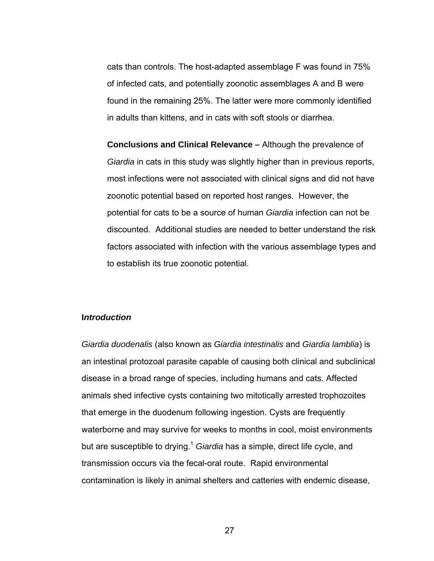cats than controls. The host-adapted assemblage F was found in 75% of infected cats, and potentially zoonotic assemblages A and B were found in the remaining 25%. The latter were more commonly identified in adults than kittens, and in cats with soft stools or diarrhea.

**Conclusions and Clinical Relevance –** Although the prevalence of *Giardia* in cats in this study was slightly higher than in previous reports, most infections were not associated with clinical signs and did not have zoonotic potential based on reported host ranges. However, the potential for cats to be a source of human *Giardia* infection can not be discounted. Additional studies are needed to better understand the risk factors associated with infection with the various assemblage types and to establish its true zoonotic potential.

# **I***ntroduction*

*Giardia duodenalis* (also known as *Giardia intestinalis* and *Giardia lamblia*) is an intestinal protozoal parasite capable of causing both clinical and subclinical disease in a broad range of species, including humans and cats. Affected animals shed infective cysts containing two mitotically arrested trophozoites that emerge in the duodenum following ingestion. Cysts are frequently waterborne and may survive for weeks to months in cool, moist environments but are susceptible to drying.<sup>1</sup> *Giardia* has a simple, direct life cycle, and transmission occurs via the fecal-oral route. Rapid environmental contamination is likely in animal shelters and catteries with endemic disease,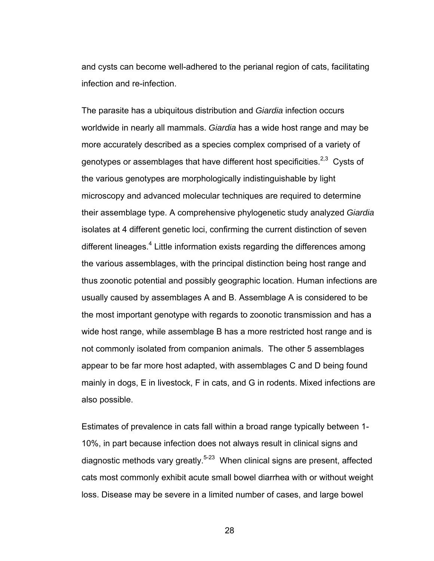and cysts can become well-adhered to the perianal region of cats, facilitating infection and re-infection.

The parasite has a ubiquitous distribution and *Giardia* infection occurs worldwide in nearly all mammals. *Giardia* has a wide host range and may be more accurately described as a species complex comprised of a variety of genotypes or assemblages that have different host specificities.<sup>2,3</sup> Cysts of the various genotypes are morphologically indistinguishable by light microscopy and advanced molecular techniques are required to determine their assemblage type. A comprehensive phylogenetic study analyzed *Giardia* isolates at 4 different genetic loci, confirming the current distinction of seven different lineages.<sup>4</sup> Little information exists regarding the differences among the various assemblages, with the principal distinction being host range and thus zoonotic potential and possibly geographic location. Human infections are usually caused by assemblages A and B. Assemblage A is considered to be the most important genotype with regards to zoonotic transmission and has a wide host range, while assemblage B has a more restricted host range and is not commonly isolated from companion animals. The other 5 assemblages appear to be far more host adapted, with assemblages C and D being found mainly in dogs, E in livestock, F in cats, and G in rodents. Mixed infections are also possible.

Estimates of prevalence in cats fall within a broad range typically between 1- 10%, in part because infection does not always result in clinical signs and diagnostic methods vary greatly. $5-23$  When clinical signs are present, affected cats most commonly exhibit acute small bowel diarrhea with or without weight loss. Disease may be severe in a limited number of cases, and large bowel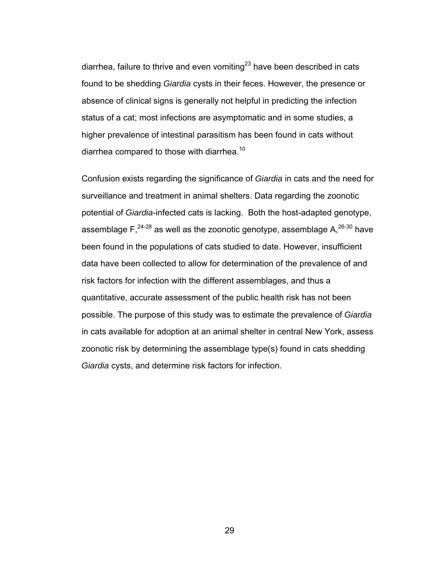diarrhea, failure to thrive and even vomiting<sup>23</sup> have been described in cats found to be shedding *Giardia* cysts in their feces. However, the presence or absence of clinical signs is generally not helpful in predicting the infection status of a cat; most infections are asymptomatic and in some studies, a higher prevalence of intestinal parasitism has been found in cats without diarrhea compared to those with diarrhea.<sup>10</sup>

Confusion exists regarding the significance of *Giardia* in cats and the need for surveillance and treatment in animal shelters. Data regarding the zoonotic potential of *Giardia*-infected cats is lacking. Both the host-adapted genotype, assemblage  $F<sub>1</sub><sup>24-28</sup>$  as well as the zoonotic genotype, assemblage A, $^{26-30}$  have been found in the populations of cats studied to date. However, insufficient data have been collected to allow for determination of the prevalence of and risk factors for infection with the different assemblages, and thus a quantitative, accurate assessment of the public health risk has not been possible. The purpose of this study was to estimate the prevalence of *Giardia* in cats available for adoption at an animal shelter in central New York, assess zoonotic risk by determining the assemblage type(s) found in cats shedding *Giardia* cysts, and determine risk factors for infection.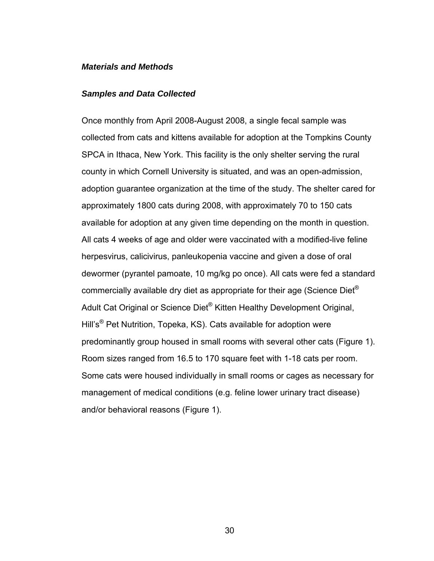## *Materials and Methods*

## *Samples and Data Collected*

Once monthly from April 2008-August 2008, a single fecal sample was collected from cats and kittens available for adoption at the Tompkins County SPCA in Ithaca, New York. This facility is the only shelter serving the rural county in which Cornell University is situated, and was an open-admission, adoption guarantee organization at the time of the study. The shelter cared for approximately 1800 cats during 2008, with approximately 70 to 150 cats available for adoption at any given time depending on the month in question. All cats 4 weeks of age and older were vaccinated with a modified-live feline herpesvirus, calicivirus, panleukopenia vaccine and given a dose of oral dewormer (pyrantel pamoate, 10 mg/kg po once). All cats were fed a standard commercially available dry diet as appropriate for their age (Science Diet® Adult Cat Original or Science Diet® Kitten Healthy Development Original, Hill's® Pet Nutrition, Topeka, KS). Cats available for adoption were predominantly group housed in small rooms with several other cats (Figure 1). Room sizes ranged from 16.5 to 170 square feet with 1-18 cats per room. Some cats were housed individually in small rooms or cages as necessary for management of medical conditions (e.g. feline lower urinary tract disease) and/or behavioral reasons (Figure 1).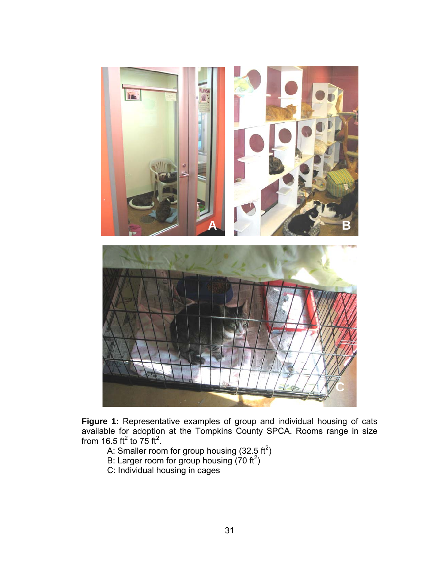

**Figure 1:** Representative examples of group and individual housing of cats available for adoption at the Tompkins County SPCA. Rooms range in size from 16.5 ft<sup>2</sup> to 75 ft<sup>2</sup>.

- A: Smaller room for group housing (32.5 ft<sup>2</sup>)
- B: Larger room for group housing  $(70 \text{ ft}^2)$
- C: Individual housing in cages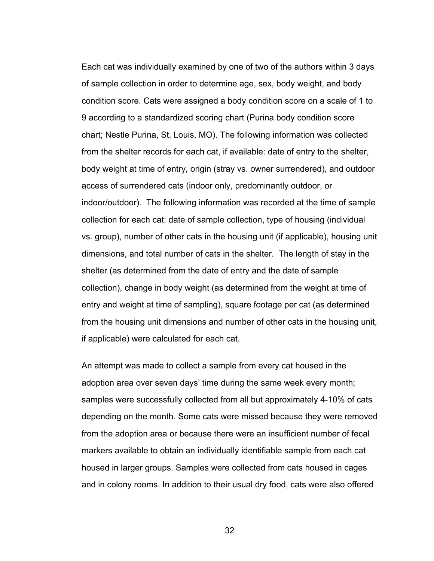Each cat was individually examined by one of two of the authors within 3 days of sample collection in order to determine age, sex, body weight, and body condition score. Cats were assigned a body condition score on a scale of 1 to 9 according to a standardized scoring chart (Purina body condition score chart; Nestle Purina, St. Louis, MO). The following information was collected from the shelter records for each cat, if available: date of entry to the shelter, body weight at time of entry, origin (stray vs. owner surrendered), and outdoor access of surrendered cats (indoor only, predominantly outdoor, or indoor/outdoor). The following information was recorded at the time of sample collection for each cat: date of sample collection, type of housing (individual vs. group), number of other cats in the housing unit (if applicable), housing unit dimensions, and total number of cats in the shelter. The length of stay in the shelter (as determined from the date of entry and the date of sample collection), change in body weight (as determined from the weight at time of entry and weight at time of sampling), square footage per cat (as determined from the housing unit dimensions and number of other cats in the housing unit, if applicable) were calculated for each cat.

An attempt was made to collect a sample from every cat housed in the adoption area over seven days' time during the same week every month; samples were successfully collected from all but approximately 4-10% of cats depending on the month. Some cats were missed because they were removed from the adoption area or because there were an insufficient number of fecal markers available to obtain an individually identifiable sample from each cat housed in larger groups. Samples were collected from cats housed in cages and in colony rooms. In addition to their usual dry food, cats were also offered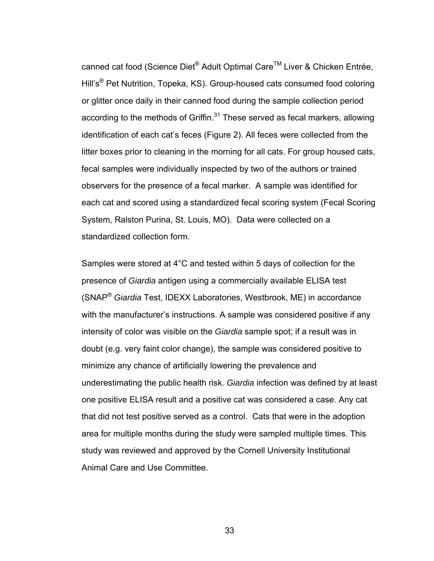canned cat food (Science Diet<sup>®</sup> Adult Optimal Care<sup>™</sup> Liver & Chicken Entrée, Hill's® Pet Nutrition, Topeka, KS). Group-housed cats consumed food coloring or glitter once daily in their canned food during the sample collection period according to the methods of Griffin. $31$  These served as fecal markers, allowing identification of each cat's feces (Figure 2). All feces were collected from the litter boxes prior to cleaning in the morning for all cats. For group housed cats, fecal samples were individually inspected by two of the authors or trained observers for the presence of a fecal marker. A sample was identified for each cat and scored using a standardized fecal scoring system (Fecal Scoring System, Ralston Purina, St. Louis, MO). Data were collected on a standardized collection form.

Samples were stored at 4°C and tested within 5 days of collection for the presence of *Giardia* antigen using a commercially available ELISA test (SNAP® *Giardia* Test, IDEXX Laboratories, Westbrook, ME) in accordance with the manufacturer's instructions. A sample was considered positive if any intensity of color was visible on the *Giardia* sample spot; if a result was in doubt (e.g. very faint color change), the sample was considered positive to minimize any chance of artificially lowering the prevalence and underestimating the public health risk. *Giardia* infection was defined by at least one positive ELISA result and a positive cat was considered a case. Any cat that did not test positive served as a control. Cats that were in the adoption area for multiple months during the study were sampled multiple times. This study was reviewed and approved by the Cornell University Institutional Animal Care and Use Committee.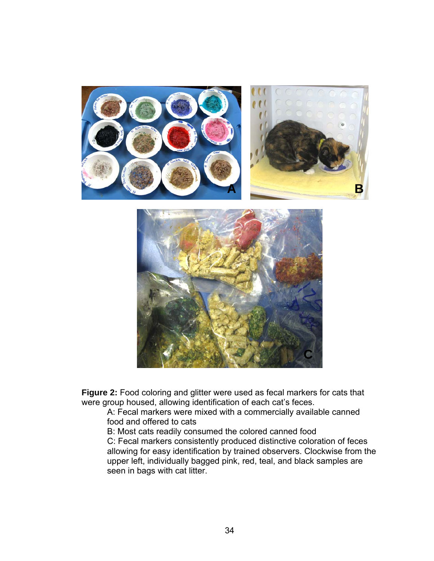

**Figure 2:** Food coloring and glitter were used as fecal markers for cats that were group housed, allowing identification of each cat's feces.

A: Fecal markers were mixed with a commercially available canned food and offered to cats

B: Most cats readily consumed the colored canned food

C: Fecal markers consistently produced distinctive coloration of feces allowing for easy identification by trained observers. Clockwise from the upper left, individually bagged pink, red, teal, and black samples are seen in bags with cat litter.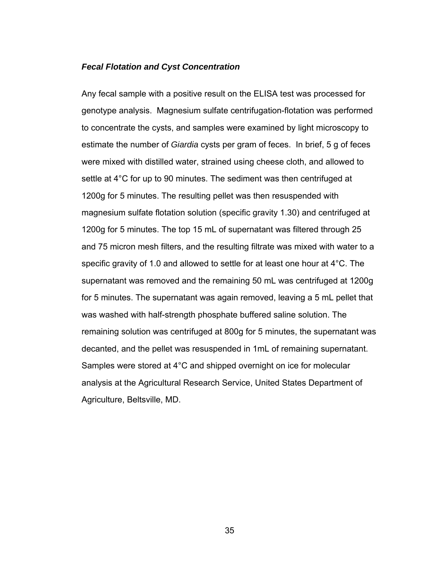## *Fecal Flotation and Cyst Concentration*

Any fecal sample with a positive result on the ELISA test was processed for genotype analysis. Magnesium sulfate centrifugation-flotation was performed to concentrate the cysts, and samples were examined by light microscopy to estimate the number of *Giardia* cysts per gram of feces. In brief, 5 g of feces were mixed with distilled water, strained using cheese cloth, and allowed to settle at 4°C for up to 90 minutes. The sediment was then centrifuged at 1200g for 5 minutes. The resulting pellet was then resuspended with magnesium sulfate flotation solution (specific gravity 1.30) and centrifuged at 1200g for 5 minutes. The top 15 mL of supernatant was filtered through 25 and 75 micron mesh filters, and the resulting filtrate was mixed with water to a specific gravity of 1.0 and allowed to settle for at least one hour at 4°C. The supernatant was removed and the remaining 50 mL was centrifuged at 1200g for 5 minutes. The supernatant was again removed, leaving a 5 mL pellet that was washed with half-strength phosphate buffered saline solution. The remaining solution was centrifuged at 800g for 5 minutes, the supernatant was decanted, and the pellet was resuspended in 1mL of remaining supernatant. Samples were stored at 4°C and shipped overnight on ice for molecular analysis at the Agricultural Research Service, United States Department of Agriculture, Beltsville, MD.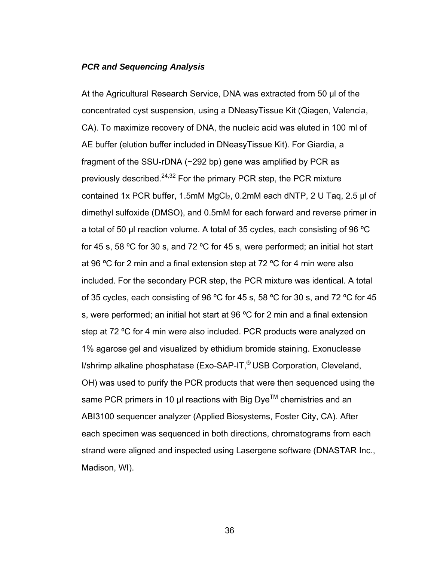## *PCR and Sequencing Analysis*

At the Agricultural Research Service, DNA was extracted from 50 μl of the concentrated cyst suspension, using a DNeasyTissue Kit (Qiagen, Valencia, CA). To maximize recovery of DNA, the nucleic acid was eluted in 100 ml of AE buffer (elution buffer included in DNeasyTissue Kit). For Giardia, a fragment of the SSU-rDNA (~292 bp) gene was amplified by PCR as previously described.<sup>24,32</sup> For the primary PCR step, the PCR mixture contained 1x PCR buffer, 1.5mM MgCl<sub>2</sub>, 0.2mM each dNTP, 2 U Taq, 2.5 μl of dimethyl sulfoxide (DMSO), and 0.5mM for each forward and reverse primer in a total of 50 μl reaction volume. A total of 35 cycles, each consisting of 96 ºC for 45 s, 58 ºC for 30 s, and 72 ºC for 45 s, were performed; an initial hot start at 96 ºC for 2 min and a final extension step at 72 ºC for 4 min were also included. For the secondary PCR step, the PCR mixture was identical. A total of 35 cycles, each consisting of 96 ºC for 45 s, 58 ºC for 30 s, and 72 ºC for 45 s, were performed; an initial hot start at 96 ºC for 2 min and a final extension step at 72 ºC for 4 min were also included. PCR products were analyzed on 1% agarose gel and visualized by ethidium bromide staining. Exonuclease I/shrimp alkaline phosphatase (Exo-SAP-IT,® USB Corporation, Cleveland, OH) was used to purify the PCR products that were then sequenced using the same PCR primers in 10 µl reactions with Big Dye™ chemistries and an ABI3100 sequencer analyzer (Applied Biosystems, Foster City, CA). After each specimen was sequenced in both directions, chromatograms from each strand were aligned and inspected using Lasergene software (DNASTAR Inc., Madison, WI).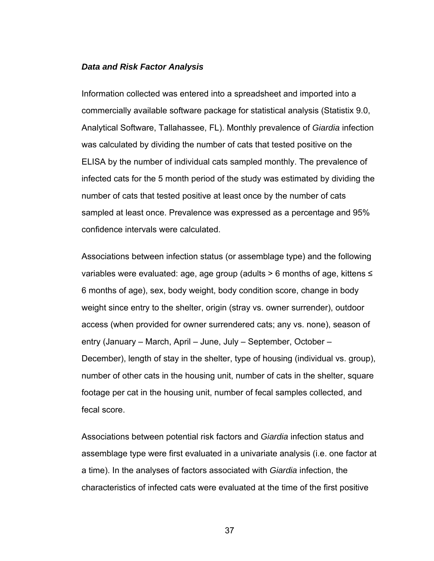## *Data and Risk Factor Analysis*

Information collected was entered into a spreadsheet and imported into a commercially available software package for statistical analysis (Statistix 9.0, Analytical Software, Tallahassee, FL). Monthly prevalence of *Giardia* infection was calculated by dividing the number of cats that tested positive on the ELISA by the number of individual cats sampled monthly. The prevalence of infected cats for the 5 month period of the study was estimated by dividing the number of cats that tested positive at least once by the number of cats sampled at least once. Prevalence was expressed as a percentage and 95% confidence intervals were calculated.

Associations between infection status (or assemblage type) and the following variables were evaluated: age, age group (adults > 6 months of age, kittens ≤ 6 months of age), sex, body weight, body condition score, change in body weight since entry to the shelter, origin (stray vs. owner surrender), outdoor access (when provided for owner surrendered cats; any vs. none), season of entry (January – March, April – June, July – September, October – December), length of stay in the shelter, type of housing (individual vs. group), number of other cats in the housing unit, number of cats in the shelter, square footage per cat in the housing unit, number of fecal samples collected, and fecal score.

Associations between potential risk factors and *Giardia* infection status and assemblage type were first evaluated in a univariate analysis (i.e. one factor at a time). In the analyses of factors associated with *Giardia* infection, the characteristics of infected cats were evaluated at the time of the first positive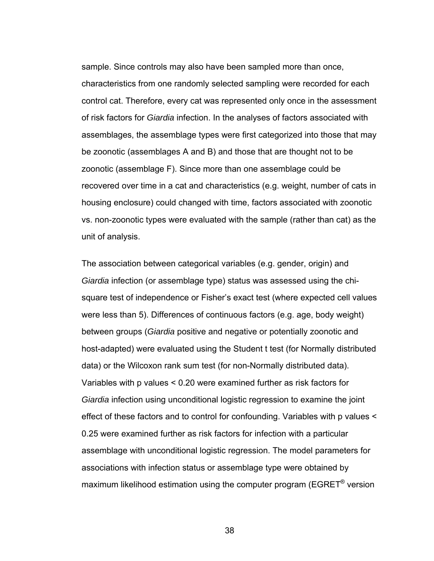sample. Since controls may also have been sampled more than once, characteristics from one randomly selected sampling were recorded for each control cat. Therefore, every cat was represented only once in the assessment of risk factors for *Giardia* infection. In the analyses of factors associated with assemblages, the assemblage types were first categorized into those that may be zoonotic (assemblages A and B) and those that are thought not to be zoonotic (assemblage F). Since more than one assemblage could be recovered over time in a cat and characteristics (e.g. weight, number of cats in housing enclosure) could changed with time, factors associated with zoonotic vs. non-zoonotic types were evaluated with the sample (rather than cat) as the unit of analysis.

The association between categorical variables (e.g. gender, origin) and *Giardia* infection (or assemblage type) status was assessed using the chisquare test of independence or Fisher's exact test (where expected cell values were less than 5). Differences of continuous factors (e.g. age, body weight) between groups (*Giardia* positive and negative or potentially zoonotic and host-adapted) were evaluated using the Student t test (for Normally distributed data) or the Wilcoxon rank sum test (for non-Normally distributed data). Variables with p values < 0.20 were examined further as risk factors for *Giardia* infection using unconditional logistic regression to examine the joint effect of these factors and to control for confounding. Variables with p values < 0.25 were examined further as risk factors for infection with a particular assemblage with unconditional logistic regression. The model parameters for associations with infection status or assemblage type were obtained by maximum likelihood estimation using the computer program (EGRET® version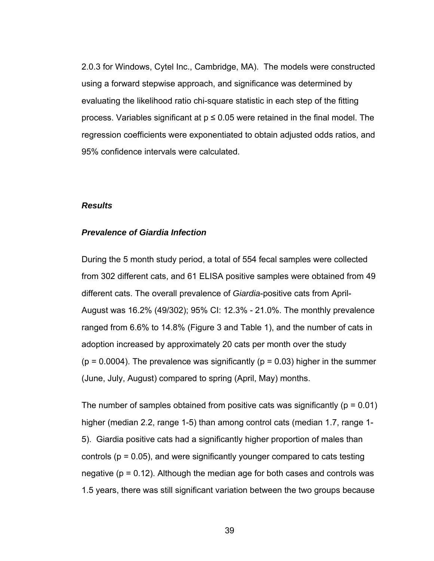2.0.3 for Windows, Cytel Inc., Cambridge, MA). The models were constructed using a forward stepwise approach, and significance was determined by evaluating the likelihood ratio chi-square statistic in each step of the fitting process. Variables significant at  $p \le 0.05$  were retained in the final model. The regression coefficients were exponentiated to obtain adjusted odds ratios, and 95% confidence intervals were calculated.

#### *Results*

#### *Prevalence of Giardia Infection*

During the 5 month study period, a total of 554 fecal samples were collected from 302 different cats, and 61 ELISA positive samples were obtained from 49 different cats. The overall prevalence of *Giardia*-positive cats from April-August was 16.2% (49/302); 95% CI: 12.3% - 21.0%. The monthly prevalence ranged from 6.6% to 14.8% (Figure 3 and Table 1), and the number of cats in adoption increased by approximately 20 cats per month over the study  $(p = 0.0004)$ . The prevalence was significantly  $(p = 0.03)$  higher in the summer (June, July, August) compared to spring (April, May) months.

The number of samples obtained from positive cats was significantly ( $p = 0.01$ ) higher (median 2.2, range 1-5) than among control cats (median 1.7, range 1- 5). Giardia positive cats had a significantly higher proportion of males than controls ( $p = 0.05$ ), and were significantly younger compared to cats testing negative (p = 0.12). Although the median age for both cases and controls was 1.5 years, there was still significant variation between the two groups because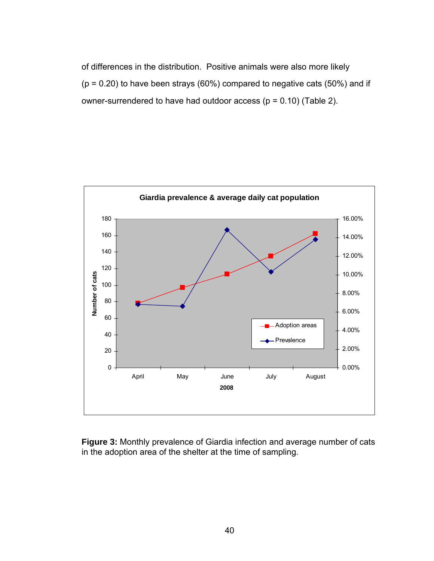of differences in the distribution. Positive animals were also more likely  $(p = 0.20)$  to have been strays (60%) compared to negative cats (50%) and if owner-surrendered to have had outdoor access ( $p = 0.10$ ) (Table 2).



**Figure 3:** Monthly prevalence of Giardia infection and average number of cats in the adoption area of the shelter at the time of sampling.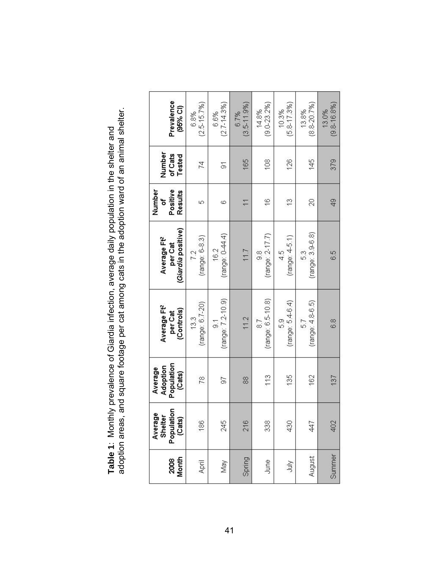| Prevalence<br>(95% Cl)                                   | $(2.5 - 15.7%)$<br>6.8% | $(2.7 - 14.3%)$<br>6.6%             | $(3.5 - 11.9%)$<br>6.7%  | $(9.0 - 23.2%)$<br>14.8% | $(5.8 - 17.3%)$<br>10.3%  | $(8.8 - 20.7%)$<br>13.8% | $(9.8 - 16.8\%)$<br>13.0% |
|----------------------------------------------------------|-------------------------|-------------------------------------|--------------------------|--------------------------|---------------------------|--------------------------|---------------------------|
| Number<br>of Cats<br>Tested                              | 74                      | $\overline{5}$                      | 165                      | 108                      | 126                       | 145                      | 379                       |
| Number<br>Positive<br>Results<br>۵f                      | 40                      | 6                                   | $\overline{\phantom{0}}$ | $\frac{6}{5}$            | $\frac{3}{2}$             | $\approx$                | $\frac{9}{4}$             |
| (Giardia positive)<br>Average Ft <sup>2</sup><br>per Cat | (range: 6-8.3)<br>72    | (range: 0-44.4)<br>16.2             | 11.7                     | $(range: 2-17.7)$<br>9.8 | (range: 45.1)<br>4.5      | $(range: 3.9-6.8)$<br>53 | 6.5                       |
| Average Ft <sup>2</sup><br>(Controls)<br>per Cat         | (range: 6.7-20)<br>13.3 | (range: 7.2-10.9)<br>$\overline{9}$ | 11.2                     | (range: 6.5-10.8)<br>8.7 | $(range: 5.4-6.4)$<br>5.9 | $(range: 4.8-6.5)$<br>57 | 6.8                       |
| Population<br>Adoption<br>Average<br>(Cats)              | 78                      | 56                                  | 88                       | 113                      | 135                       | 162                      | 137                       |
| Average<br>Populatio<br>Shelter<br>(Cats)                | 186                     | 245                                 | 216                      | 338                      | 430                       | 447                      | 402                       |
| Month<br>2008                                            | April                   | May                                 | Spring                   | June                     | <b>SINC</b>               | August                   | Summer                    |

Table 1: Monthly prevalence of Giardia infection, average daily population in the shelter and<br>adoption areas, and square footage per cat among cats in the adoption ward of an animal shelter. adoption areas, and square footage per cat among cats in the adoption ward of an animal shelter. **Table 1**: Monthly prevalence of Giardia infection, average daily population in the shelter and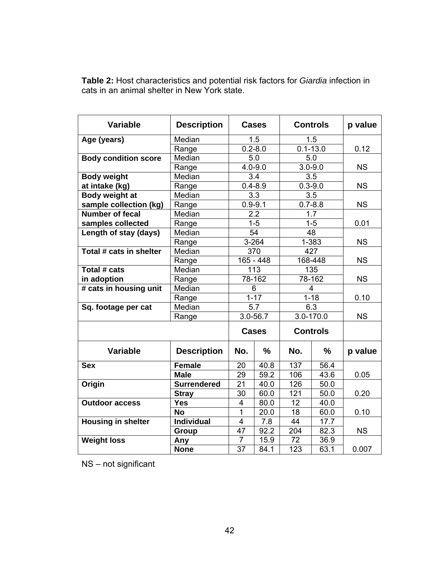| <b>Variable</b>             | <b>Description</b> | <b>Cases</b>         |                  | <b>Controls</b> |               | p value   |
|-----------------------------|--------------------|----------------------|------------------|-----------------|---------------|-----------|
| Age (years)                 | Median             |                      | 1.5              |                 | 1.5           |           |
|                             | Range              | $0.2 - 8.0$          |                  | $0.1 - 13.0$    |               | 0.12      |
| <b>Body condition score</b> | Median             | 5.0                  |                  | 5.0             |               |           |
|                             | Range              |                      | $4.0 - 9.0$      |                 | $3.0 - 9.0$   | <b>NS</b> |
| <b>Body weight</b>          | Median             |                      | 3.4              |                 | 3.5           |           |
| at intake (kg)              | Range              |                      | $0.4 - 8.9$      |                 | $0.3 - 9.0$   | <b>NS</b> |
| Body weight at              | Median             |                      | $\overline{3.3}$ | 3.5             |               |           |
| sample collection (kg)      | Range              | $0.9 - 9.1$          |                  | $0.7 - 8.8$     |               | <b>NS</b> |
| <b>Number of fecal</b>      | Median             | 2.2                  |                  | 1.7             |               |           |
| samples collected           | Range              |                      | $1 - 5$          | $1 - 5$         |               | 0.01      |
| Length of stay (days)       | Median             |                      | 54               | 48              |               |           |
|                             | Range              |                      | $3 - 264$        | $1 - 383$       |               | <b>NS</b> |
| Total # cats in shelter     | Median             | 370                  |                  | 427             |               |           |
|                             | Range              | $165 - 448$          |                  | 168-448         |               | <b>NS</b> |
| Total # cats                | Median             | 113                  |                  | 135             |               |           |
| in adoption                 | Range              | 78-162               |                  | 78-162          |               | <b>NS</b> |
| # cats in housing unit      | Median             |                      | 6                |                 | 4             |           |
|                             | Range              | $1 - 17$<br>$1 - 18$ |                  |                 | 0.10          |           |
| Sq. footage per cat         | Median             | 5.7                  |                  | 6.3             |               |           |
|                             | Range              | 3.0-56.7             |                  | 3.0-170.0       |               | <b>NS</b> |
|                             |                    |                      | <b>Cases</b>     | <b>Controls</b> |               |           |
| <b>Variable</b>             | <b>Description</b> | No.                  | $\frac{0}{0}$    | No.             | $\frac{0}{0}$ | p value   |
| <b>Sex</b>                  | <b>Female</b>      | 20                   | 40.8             | 137             | 56.4          |           |
|                             | <b>Male</b>        | 29                   | 59.2             | 106             | 43.6          | 0.05      |
| Origin                      | <b>Surrendered</b> | 21                   | 40.0             | 126             | 50.0          |           |
|                             | <b>Stray</b>       | 30                   | 60.0             | 121             | 50.0          | 0.20      |
| <b>Outdoor access</b>       | <b>Yes</b>         | $\overline{4}$       | 80.0             | 12              | 40.0          |           |
|                             | <b>No</b>          | $\overline{1}$       | 20.0             | $\overline{18}$ | 60.0          | 0.10      |
| <b>Housing in shelter</b>   | <b>Individual</b>  | 4                    | 7.8              | 44              | 17.7          |           |
|                             | Group              | 47                   | 92.2             | 204             | 82.3          | <b>NS</b> |
| <b>Weight loss</b>          | Any                | $\overline{7}$       | 15.9             | 72              | 36.9          |           |
|                             | <b>None</b>        | 37                   | 84.1             | 123             | 63.1          | 0.007     |

**Table 2:** Host characteristics and potential risk factors for *Giardia* infection in cats in an animal shelter in New York state.

NS – not significant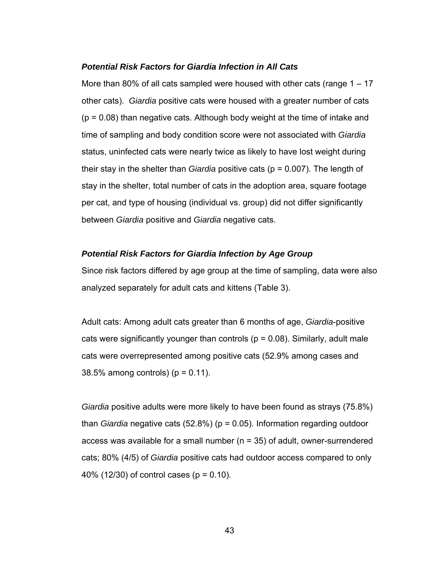## *Potential Risk Factors for Giardia Infection in All Cats*

More than 80% of all cats sampled were housed with other cats (range 1 – 17 other cats). *Giardia* positive cats were housed with a greater number of cats  $(p = 0.08)$  than negative cats. Although body weight at the time of intake and time of sampling and body condition score were not associated with *Giardia* status, uninfected cats were nearly twice as likely to have lost weight during their stay in the shelter than *Giardia* positive cats (p = 0.007). The length of stay in the shelter, total number of cats in the adoption area, square footage per cat, and type of housing (individual vs. group) did not differ significantly between *Giardia* positive and *Giardia* negative cats.

## *Potential Risk Factors for Giardia Infection by Age Group*

Since risk factors differed by age group at the time of sampling, data were also analyzed separately for adult cats and kittens (Table 3).

Adult cats: Among adult cats greater than 6 months of age, *Giardia*-positive cats were significantly younger than controls ( $p = 0.08$ ). Similarly, adult male cats were overrepresented among positive cats (52.9% among cases and 38.5% among controls)  $(p = 0.11)$ .

*Giardia* positive adults were more likely to have been found as strays (75.8%) than *Giardia* negative cats (52.8%) (p = 0.05). Information regarding outdoor access was available for a small number (n = 35) of adult, owner-surrendered cats; 80% (4/5) of *Giardia* positive cats had outdoor access compared to only 40% (12/30) of control cases (p = 0.10).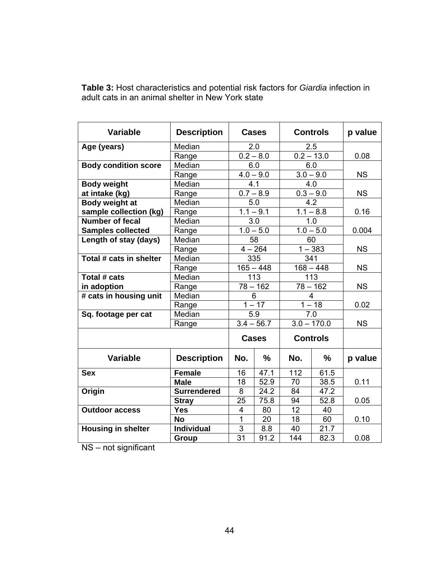| <b>Variable</b>             | <b>Description</b>            | <b>Cases</b>   |              | <b>Controls</b> |                 | p value   |
|-----------------------------|-------------------------------|----------------|--------------|-----------------|-----------------|-----------|
| Age (years)                 | Median                        | 2.0            |              | 2.5             |                 |           |
|                             | Range                         |                | $0.2 - 8.0$  |                 | $0.2 - 13.0$    | 0.08      |
| <b>Body condition score</b> | Median                        |                | 6.0          | 6.0             |                 |           |
|                             | Range                         |                | $4.0 - 9.0$  | $3.0 - 9.0$     |                 | <b>NS</b> |
| <b>Body weight</b>          | Median                        | 4.1            |              | 4.0             |                 |           |
| at intake (kg)              | Range                         |                | $0.7 - 8.9$  |                 | $0.3 - 9.0$     | <b>NS</b> |
| Body weight at              | Median                        | 5.0            |              | 4.2             |                 |           |
| sample collection (kg)      | Range                         |                | $1.1 - 9.1$  | $1.1 - 8.8$     |                 | 0.16      |
| <b>Number of fecal</b>      | Median                        |                | 3.0          | 1.0             |                 |           |
| <b>Samples collected</b>    | Range                         |                | $1.0 - 5.0$  | $1.0 - 5.0$     |                 | 0.004     |
| Length of stay (days)       | Median                        | 58             |              | 60              |                 |           |
|                             | Range                         | $4 - 264$      |              | $1 - 383$       |                 | <b>NS</b> |
| Total # cats in shelter     | $\overline{\mathsf{M}}$ edian | 335            |              | 341             |                 |           |
|                             | Range                         | $165 - 448$    |              | $168 - 448$     |                 | <b>NS</b> |
| Total # cats                | Median                        | 113            |              | 113             |                 |           |
| in adoption                 | Range                         | $78 - 162$     |              | $78 - 162$      |                 | <b>NS</b> |
| # cats in housing unit      | Median                        |                | 6            | $\overline{4}$  |                 |           |
|                             | Range                         |                | $1 - 17$     | $1 - 18$        |                 | 0.02      |
| Sq. footage per cat         | Median                        | 5.9            |              | 7.0             |                 |           |
|                             | Range                         | $3.4 - 56.7$   |              | $3.0 - 170.0$   |                 | <b>NS</b> |
|                             |                               |                | <b>Cases</b> |                 | <b>Controls</b> |           |
| <b>Variable</b>             | <b>Description</b>            | No.            | $\%$         | No.             | $\frac{0}{0}$   | p value   |
| <b>Sex</b>                  | <b>Female</b>                 | 16             | 47.1         | 112             | 61.5            |           |
|                             | <b>Male</b>                   | 18             | 52.9         | 70              | 38.5            | 0.11      |
| Origin                      | <b>Surrendered</b>            | 8              | 24.2         | 84              | 47.2            |           |
|                             | <b>Stray</b>                  | 25             | 75.8         | 94              | 52.8            | 0.05      |
| <b>Outdoor access</b>       | <b>Yes</b>                    | 4              | 80           | 12              | 40              |           |
|                             | <b>No</b>                     | $\overline{1}$ | 20           | 18              | 60              | 0.10      |
| <b>Housing in shelter</b>   | <b>Individual</b>             | 3              | 8.8          | 40              | 21.7            |           |
|                             | Group                         | 31             | 91.2         | 144             | 82.3            | 0.08      |

**Table 3:** Host characteristics and potential risk factors for *Giardia* infection in adult cats in an animal shelter in New York state

NS – not significant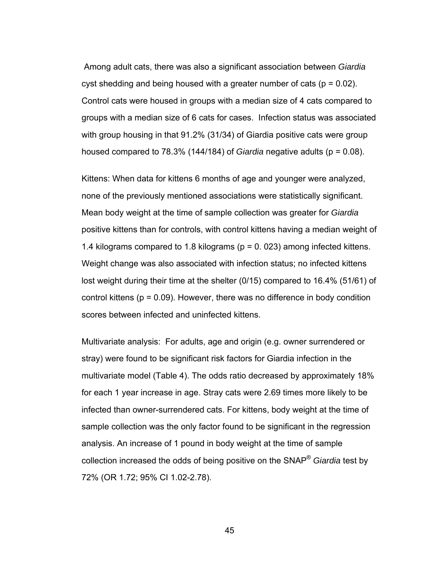Among adult cats, there was also a significant association between *Giardia* cyst shedding and being housed with a greater number of cats ( $p = 0.02$ ). Control cats were housed in groups with a median size of 4 cats compared to groups with a median size of 6 cats for cases. Infection status was associated with group housing in that 91.2% (31/34) of Giardia positive cats were group housed compared to 78.3% (144/184) of *Giardia* negative adults (p = 0.08).

Kittens: When data for kittens 6 months of age and younger were analyzed, none of the previously mentioned associations were statistically significant. Mean body weight at the time of sample collection was greater for *Giardia* positive kittens than for controls, with control kittens having a median weight of 1.4 kilograms compared to 1.8 kilograms (p = 0. 023) among infected kittens. Weight change was also associated with infection status; no infected kittens lost weight during their time at the shelter (0/15) compared to 16.4% (51/61) of control kittens ( $p = 0.09$ ). However, there was no difference in body condition scores between infected and uninfected kittens.

Multivariate analysis: For adults, age and origin (e.g. owner surrendered or stray) were found to be significant risk factors for Giardia infection in the multivariate model (Table 4). The odds ratio decreased by approximately 18% for each 1 year increase in age. Stray cats were 2.69 times more likely to be infected than owner-surrendered cats. For kittens, body weight at the time of sample collection was the only factor found to be significant in the regression analysis. An increase of 1 pound in body weight at the time of sample collection increased the odds of being positive on the SNAP® *Giardia* test by 72% (OR 1.72; 95% CI 1.02-2.78).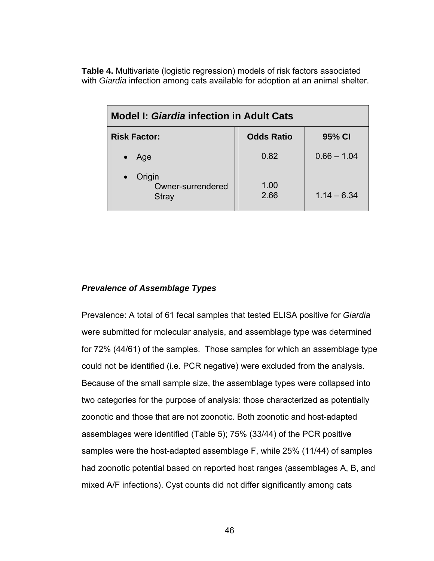**Table 4.** Multivariate (logistic regression) models of risk factors associated with *Giardia* infection among cats available for adoption at an animal shelter.

| <b>Model I: Giardia infection in Adult Cats</b> |                   |               |  |  |  |  |
|-------------------------------------------------|-------------------|---------------|--|--|--|--|
| <b>Risk Factor:</b>                             | <b>Odds Ratio</b> | 95% CI        |  |  |  |  |
| Age                                             | 0.82              | $0.66 - 1.04$ |  |  |  |  |
| Origin<br>Owner-surrendered<br>Stray            | 1.00<br>2.66      | $1.14 - 6.34$ |  |  |  |  |

# *Prevalence of Assemblage Types*

Prevalence: A total of 61 fecal samples that tested ELISA positive for *Giardia* were submitted for molecular analysis, and assemblage type was determined for 72% (44/61) of the samples. Those samples for which an assemblage type could not be identified (i.e. PCR negative) were excluded from the analysis. Because of the small sample size, the assemblage types were collapsed into two categories for the purpose of analysis: those characterized as potentially zoonotic and those that are not zoonotic. Both zoonotic and host-adapted assemblages were identified (Table 5); 75% (33/44) of the PCR positive samples were the host-adapted assemblage F, while 25% (11/44) of samples had zoonotic potential based on reported host ranges (assemblages A, B, and mixed A/F infections). Cyst counts did not differ significantly among cats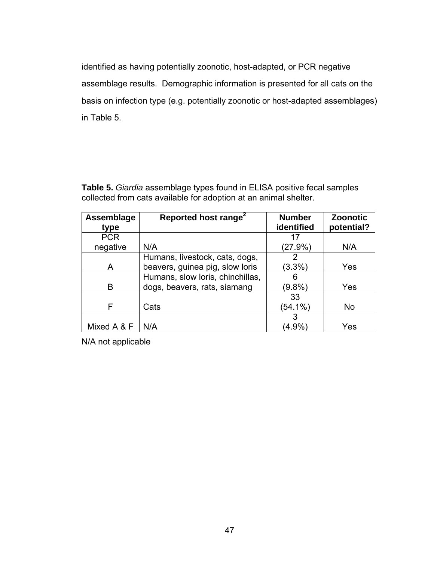identified as having potentially zoonotic, host-adapted, or PCR negative assemblage results. Demographic information is presented for all cats on the basis on infection type (e.g. potentially zoonotic or host-adapted assemblages) in Table 5.

**Table 5.** *Giardia* assemblage types found in ELISA positive fecal samples collected from cats available for adoption at an animal shelter.

| Assemblage  | Reported host range <sup>2</sup> | <b>Number</b> | <b>Zoonotic</b> |
|-------------|----------------------------------|---------------|-----------------|
| type        |                                  | identified    | potential?      |
| <b>PCR</b>  |                                  | 17            |                 |
| negative    | N/A                              | $(27.9\%)$    | N/A             |
|             | Humans, livestock, cats, dogs,   | 2             |                 |
| A           | beavers, guinea pig, slow loris  | $(3.3\%)$     | Yes             |
|             | Humans, slow loris, chinchillas, | 6             |                 |
| B           | dogs, beavers, rats, siamang     | $(9.8\%)$     | Yes             |
|             |                                  | 33            |                 |
| F           | Cats                             | $(54.1\%)$    | <b>No</b>       |
|             |                                  | 3             |                 |
| Mixed A & F | N/A                              | $(4.9\%)$     | Yes             |

N/A not applicable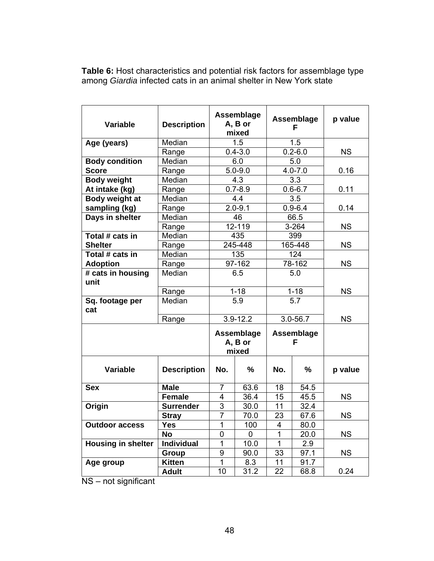**Table 6:** Host characteristics and potential risk factors for assemblage type among *Giardia* infected cats in an animal shelter in New York state

| <b>Variable</b>           | <b>Description</b> | Assemblage<br>A, B or<br>mixed |               | Assemblage<br>F |                  | p value   |
|---------------------------|--------------------|--------------------------------|---------------|-----------------|------------------|-----------|
| Age (years)               | Median             | 1.5                            |               | 1.5             |                  |           |
|                           | Range              |                                | $0.4 - 3.0$   | $0.2 - 6.0$     |                  | <b>NS</b> |
| <b>Body condition</b>     | Median             | 6.0                            |               | 5.0             |                  |           |
| <b>Score</b>              | Range              | $5.0 - 9.0$                    |               | $4.0 - 7.0$     |                  | 0.16      |
| <b>Body weight</b>        | Median             | 4.3                            |               | 3.3             |                  |           |
| At intake (kg)            | Range              | $0.7 - 8.9$                    |               | $0.6 - 6.7$     |                  | 0.11      |
| Body weight at            | Median             | 4.4                            |               | 3.5             |                  |           |
| sampling (kg)             | Range              |                                | $2.0 - 9.1$   |                 | $0.9 - 6.4$      | 0.14      |
| Days in shelter           | Median             |                                | 46            |                 | 66.5             |           |
|                           | Range              |                                | 12-119        | $3 - 264$       |                  | <b>NS</b> |
| Total # cats in           | Median             |                                | 435           | 399             |                  |           |
| <b>Shelter</b>            | Range              | 245-448                        |               | 165-448         |                  | <b>NS</b> |
| Total # cats in           | Median             | 135                            |               | 124             |                  |           |
| <b>Adoption</b>           | Range              | 97-162                         |               | 78-162          |                  | <b>NS</b> |
| # cats in housing<br>unit | Median             | 6.5                            |               | 5.0             |                  |           |
| Range                     |                    |                                | $1 - 18$      | $1 - 18$        |                  | <b>NS</b> |
| Sq. footage per<br>cat    | Median             |                                | 5.9           |                 | $\overline{5.7}$ |           |
|                           | Range              |                                | $3.9 - 12.2$  | $3.0 - 56.7$    |                  | <b>NS</b> |
|                           |                    | Assemblage<br>A, B or<br>mixed |               | Assemblage<br>F |                  |           |
| <b>Variable</b>           | <b>Description</b> | No.                            | $\frac{9}{6}$ | No.             | %                | p value   |
| <b>Sex</b>                | <b>Male</b>        | $\overline{7}$                 | 63.6          | 18              | 54.5             |           |
|                           | <b>Female</b>      | 4                              | 36.4          | 15              | 45.5             | <b>NS</b> |
| Origin                    | <b>Surrender</b>   | 3                              | 30.0          | 11              | 32.4             |           |
|                           | <b>Stray</b>       | $\overline{7}$                 | 70.0          | 23              | 67.6             | <b>NS</b> |
| <b>Outdoor access</b>     | Yes                | 1                              | 100           | 4               | 80.0             |           |
|                           | <b>No</b>          | 0                              | 0             | $\overline{1}$  | 20.0             | <b>NS</b> |
| <b>Housing in shelter</b> | Individual         | 1                              | 10.0          | 1               | 2.9              |           |
|                           | Group              | 9                              | 90.0          | 33              | 97.1             | <b>NS</b> |
| Age group                 | <b>Kitten</b>      | $\mathbf{1}$                   | 8.3           | 11              | 91.7             |           |
|                           | Adult              | 10                             | 31.2          | 22              | 68.8             | 0.24      |

NS – not significant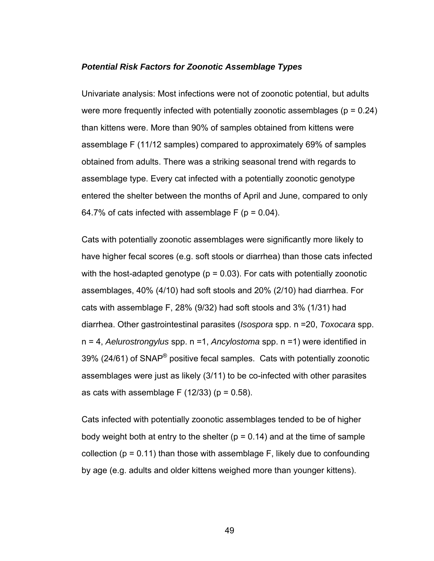## *Potential Risk Factors for Zoonotic Assemblage Types*

Univariate analysis: Most infections were not of zoonotic potential, but adults were more frequently infected with potentially zoonotic assemblages ( $p = 0.24$ ) than kittens were. More than 90% of samples obtained from kittens were assemblage F (11/12 samples) compared to approximately 69% of samples obtained from adults. There was a striking seasonal trend with regards to assemblage type. Every cat infected with a potentially zoonotic genotype entered the shelter between the months of April and June, compared to only 64.7% of cats infected with assemblage  $F(p = 0.04)$ .

Cats with potentially zoonotic assemblages were significantly more likely to have higher fecal scores (e.g. soft stools or diarrhea) than those cats infected with the host-adapted genotype ( $p = 0.03$ ). For cats with potentially zoonotic assemblages, 40% (4/10) had soft stools and 20% (2/10) had diarrhea. For cats with assemblage F, 28% (9/32) had soft stools and 3% (1/31) had diarrhea. Other gastrointestinal parasites (*Isospora* spp. n =20, *Toxocara* spp. n = 4, *Aelurostrongylus* spp. n =1, *Ancylostoma* spp. n =1) were identified in 39% (24/61) of SNAP® positive fecal samples. Cats with potentially zoonotic assemblages were just as likely (3/11) to be co-infected with other parasites as cats with assemblage F  $(12/33)$  (p = 0.58).

Cats infected with potentially zoonotic assemblages tended to be of higher body weight both at entry to the shelter ( $p = 0.14$ ) and at the time of sample collection ( $p = 0.11$ ) than those with assemblage F, likely due to confounding by age (e.g. adults and older kittens weighed more than younger kittens).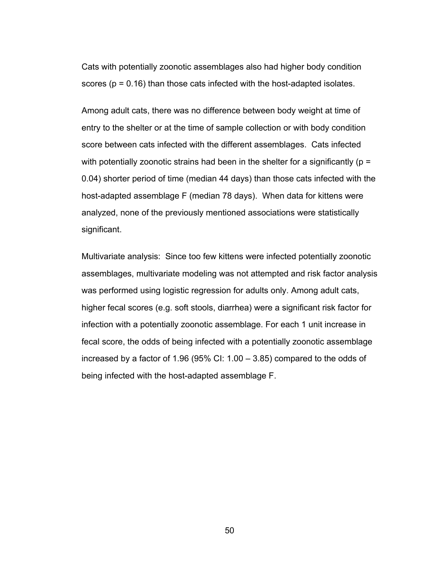Cats with potentially zoonotic assemblages also had higher body condition scores ( $p = 0.16$ ) than those cats infected with the host-adapted isolates.

Among adult cats, there was no difference between body weight at time of entry to the shelter or at the time of sample collection or with body condition score between cats infected with the different assemblages. Cats infected with potentially zoonotic strains had been in the shelter for a significantly ( $p =$ 0.04) shorter period of time (median 44 days) than those cats infected with the host-adapted assemblage F (median 78 days). When data for kittens were analyzed, none of the previously mentioned associations were statistically significant.

Multivariate analysis: Since too few kittens were infected potentially zoonotic assemblages, multivariate modeling was not attempted and risk factor analysis was performed using logistic regression for adults only. Among adult cats, higher fecal scores (e.g. soft stools, diarrhea) were a significant risk factor for infection with a potentially zoonotic assemblage. For each 1 unit increase in fecal score, the odds of being infected with a potentially zoonotic assemblage increased by a factor of 1.96 (95% CI: 1.00 – 3.85) compared to the odds of being infected with the host-adapted assemblage F.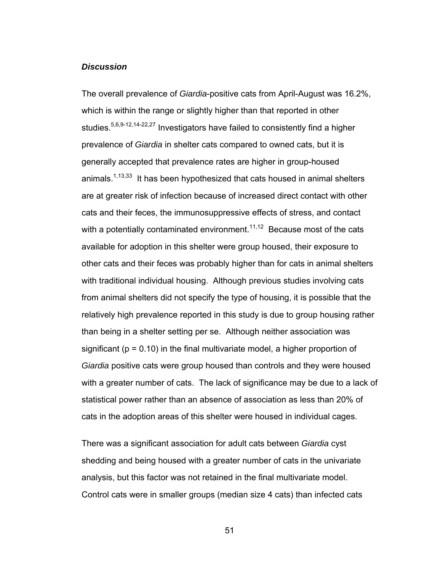## *Discussion*

The overall prevalence of *Giardia*-positive cats from April-August was 16.2%, which is within the range or slightly higher than that reported in other studies.<sup>5,6,9-12,14-22,27</sup> Investigators have failed to consistently find a higher prevalence of *Giardia* in shelter cats compared to owned cats, but it is generally accepted that prevalence rates are higher in group-housed animals.<sup>1,13,33</sup> It has been hypothesized that cats housed in animal shelters are at greater risk of infection because of increased direct contact with other cats and their feces, the immunosuppressive effects of stress, and contact with a potentially contaminated environment.<sup>11,12</sup> Because most of the cats available for adoption in this shelter were group housed, their exposure to other cats and their feces was probably higher than for cats in animal shelters with traditional individual housing. Although previous studies involving cats from animal shelters did not specify the type of housing, it is possible that the relatively high prevalence reported in this study is due to group housing rather than being in a shelter setting per se. Although neither association was significant ( $p = 0.10$ ) in the final multivariate model, a higher proportion of *Giardia* positive cats were group housed than controls and they were housed with a greater number of cats. The lack of significance may be due to a lack of statistical power rather than an absence of association as less than 20% of cats in the adoption areas of this shelter were housed in individual cages.

There was a significant association for adult cats between *Giardia* cyst shedding and being housed with a greater number of cats in the univariate analysis, but this factor was not retained in the final multivariate model. Control cats were in smaller groups (median size 4 cats) than infected cats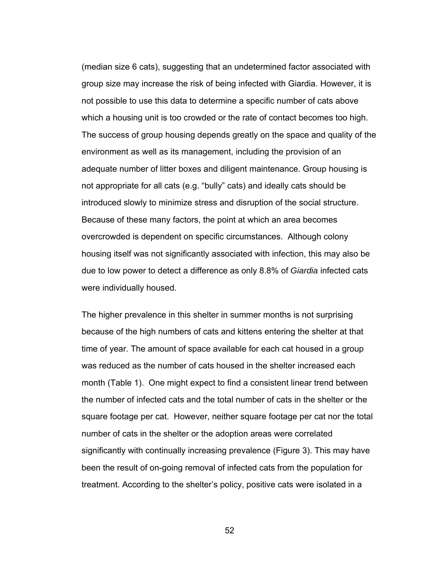(median size 6 cats), suggesting that an undetermined factor associated with group size may increase the risk of being infected with Giardia. However, it is not possible to use this data to determine a specific number of cats above which a housing unit is too crowded or the rate of contact becomes too high. The success of group housing depends greatly on the space and quality of the environment as well as its management, including the provision of an adequate number of litter boxes and diligent maintenance. Group housing is not appropriate for all cats (e.g. "bully" cats) and ideally cats should be introduced slowly to minimize stress and disruption of the social structure. Because of these many factors, the point at which an area becomes overcrowded is dependent on specific circumstances. Although colony housing itself was not significantly associated with infection, this may also be due to low power to detect a difference as only 8.8% of *Giardia* infected cats were individually housed.

The higher prevalence in this shelter in summer months is not surprising because of the high numbers of cats and kittens entering the shelter at that time of year. The amount of space available for each cat housed in a group was reduced as the number of cats housed in the shelter increased each month (Table 1). One might expect to find a consistent linear trend between the number of infected cats and the total number of cats in the shelter or the square footage per cat. However, neither square footage per cat nor the total number of cats in the shelter or the adoption areas were correlated significantly with continually increasing prevalence (Figure 3). This may have been the result of on-going removal of infected cats from the population for treatment. According to the shelter's policy, positive cats were isolated in a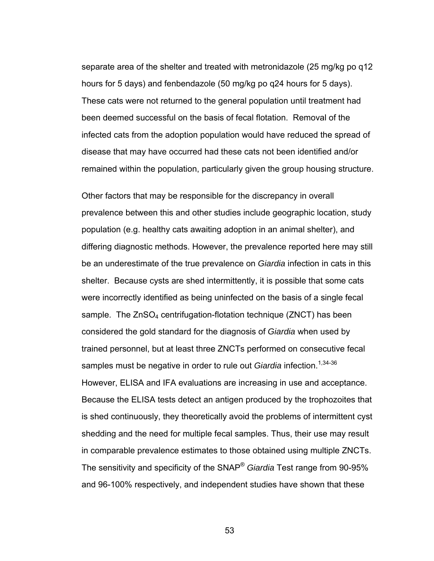separate area of the shelter and treated with metronidazole (25 mg/kg po q12 hours for 5 days) and fenbendazole (50 mg/kg po q24 hours for 5 days). These cats were not returned to the general population until treatment had been deemed successful on the basis of fecal flotation. Removal of the infected cats from the adoption population would have reduced the spread of disease that may have occurred had these cats not been identified and/or remained within the population, particularly given the group housing structure.

Other factors that may be responsible for the discrepancy in overall prevalence between this and other studies include geographic location, study population (e.g. healthy cats awaiting adoption in an animal shelter), and differing diagnostic methods. However, the prevalence reported here may still be an underestimate of the true prevalence on *Giardia* infection in cats in this shelter. Because cysts are shed intermittently, it is possible that some cats were incorrectly identified as being uninfected on the basis of a single fecal sample. The  $ZnSO_4$  centrifugation-flotation technique (ZNCT) has been considered the gold standard for the diagnosis of *Giardia* when used by trained personnel, but at least three ZNCTs performed on consecutive fecal samples must be negative in order to rule out *Giardia* infection.<sup>1,34-36</sup> However, ELISA and IFA evaluations are increasing in use and acceptance. Because the ELISA tests detect an antigen produced by the trophozoites that is shed continuously, they theoretically avoid the problems of intermittent cyst shedding and the need for multiple fecal samples. Thus, their use may result in comparable prevalence estimates to those obtained using multiple ZNCTs. The sensitivity and specificity of the SNAP® *Giardia* Test range from 90-95% and 96-100% respectively, and independent studies have shown that these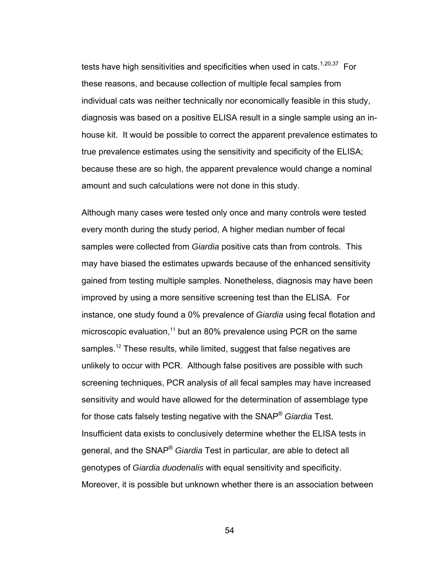tests have high sensitivities and specificities when used in cats.<sup>1,20,37</sup> For these reasons, and because collection of multiple fecal samples from individual cats was neither technically nor economically feasible in this study, diagnosis was based on a positive ELISA result in a single sample using an inhouse kit. It would be possible to correct the apparent prevalence estimates to true prevalence estimates using the sensitivity and specificity of the ELISA; because these are so high, the apparent prevalence would change a nominal amount and such calculations were not done in this study.

Although many cases were tested only once and many controls were tested every month during the study period, A higher median number of fecal samples were collected from *Giardia* positive cats than from controls. This may have biased the estimates upwards because of the enhanced sensitivity gained from testing multiple samples. Nonetheless, diagnosis may have been improved by using a more sensitive screening test than the ELISA. For instance, one study found a 0% prevalence of *Giardia* using fecal flotation and microscopic evaluation, $11$  but an 80% prevalence using PCR on the same samples.<sup>12</sup> These results, while limited, suggest that false negatives are unlikely to occur with PCR. Although false positives are possible with such screening techniques, PCR analysis of all fecal samples may have increased sensitivity and would have allowed for the determination of assemblage type for those cats falsely testing negative with the SNAP® *Giardia* Test. Insufficient data exists to conclusively determine whether the ELISA tests in general, and the SNAP® *Giardia* Test in particular, are able to detect all genotypes of *Giardia duodenalis* with equal sensitivity and specificity. Moreover, it is possible but unknown whether there is an association between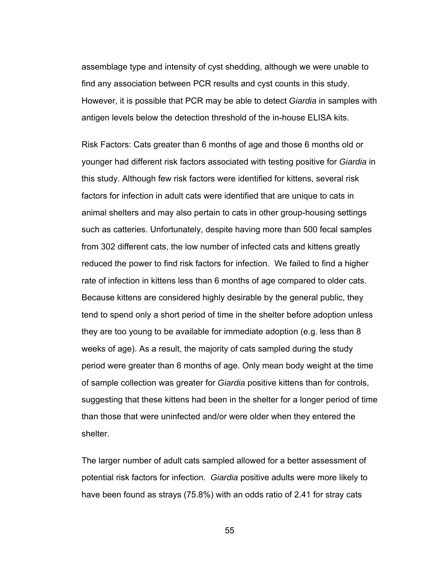assemblage type and intensity of cyst shedding, although we were unable to find any association between PCR results and cyst counts in this study. However, it is possible that PCR may be able to detect *Giardia* in samples with antigen levels below the detection threshold of the in-house ELISA kits.

Risk Factors: Cats greater than 6 months of age and those 6 months old or younger had different risk factors associated with testing positive for *Giardia* in this study. Although few risk factors were identified for kittens, several risk factors for infection in adult cats were identified that are unique to cats in animal shelters and may also pertain to cats in other group-housing settings such as catteries. Unfortunately, despite having more than 500 fecal samples from 302 different cats, the low number of infected cats and kittens greatly reduced the power to find risk factors for infection. We failed to find a higher rate of infection in kittens less than 6 months of age compared to older cats. Because kittens are considered highly desirable by the general public, they tend to spend only a short period of time in the shelter before adoption unless they are too young to be available for immediate adoption (e.g. less than 8 weeks of age). As a result, the majority of cats sampled during the study period were greater than 6 months of age. Only mean body weight at the time of sample collection was greater for *Giardia* positive kittens than for controls, suggesting that these kittens had been in the shelter for a longer period of time than those that were uninfected and/or were older when they entered the shelter.

The larger number of adult cats sampled allowed for a better assessment of potential risk factors for infection. *Giardia* positive adults were more likely to have been found as strays (75.8%) with an odds ratio of 2.41 for stray cats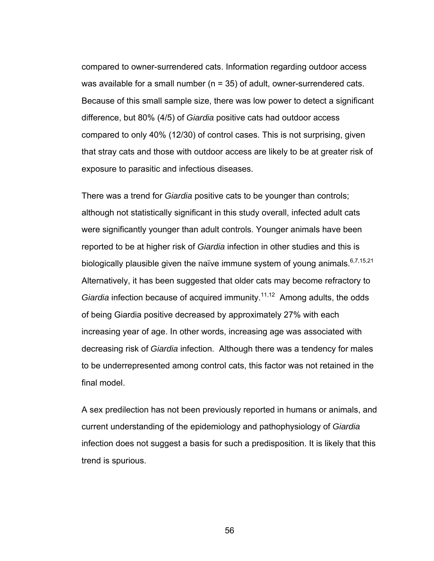compared to owner-surrendered cats. Information regarding outdoor access was available for a small number ( $n = 35$ ) of adult, owner-surrendered cats. Because of this small sample size, there was low power to detect a significant difference, but 80% (4/5) of *Giardia* positive cats had outdoor access compared to only 40% (12/30) of control cases. This is not surprising, given that stray cats and those with outdoor access are likely to be at greater risk of exposure to parasitic and infectious diseases.

There was a trend for *Giardia* positive cats to be younger than controls; although not statistically significant in this study overall, infected adult cats were significantly younger than adult controls. Younger animals have been reported to be at higher risk of *Giardia* infection in other studies and this is biologically plausible given the naïve immune system of young animals.  $6,7,15,21$ Alternatively, it has been suggested that older cats may become refractory to *Giardia* infection because of acquired immunity.<sup>11,12</sup> Among adults, the odds of being Giardia positive decreased by approximately 27% with each increasing year of age. In other words, increasing age was associated with decreasing risk of *Giardia* infection. Although there was a tendency for males to be underrepresented among control cats, this factor was not retained in the final model.

A sex predilection has not been previously reported in humans or animals, and current understanding of the epidemiology and pathophysiology of *Giardia* infection does not suggest a basis for such a predisposition. It is likely that this trend is spurious.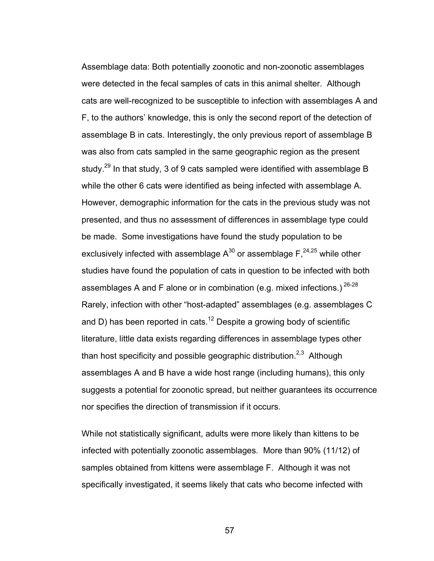Assemblage data: Both potentially zoonotic and non-zoonotic assemblages were detected in the fecal samples of cats in this animal shelter. Although cats are well-recognized to be susceptible to infection with assemblages A and F, to the authors' knowledge, this is only the second report of the detection of assemblage B in cats. Interestingly, the only previous report of assemblage B was also from cats sampled in the same geographic region as the present study.<sup>29</sup> In that study, 3 of 9 cats sampled were identified with assemblage B while the other 6 cats were identified as being infected with assemblage A. However, demographic information for the cats in the previous study was not presented, and thus no assessment of differences in assemblage type could be made. Some investigations have found the study population to be exclusively infected with assemblage  $A^{30}$  or assemblage  $F^{24,25}$  while other studies have found the population of cats in question to be infected with both assemblages A and F alone or in combination (e.g. mixed infections.)  $26-28$ Rarely, infection with other "host-adapted" assemblages (e.g. assemblages C and D) has been reported in cats.<sup>12</sup> Despite a growing body of scientific literature, little data exists regarding differences in assemblage types other than host specificity and possible geographic distribution.<sup>2,3</sup> Although assemblages A and B have a wide host range (including humans), this only suggests a potential for zoonotic spread, but neither guarantees its occurrence nor specifies the direction of transmission if it occurs.

While not statistically significant, adults were more likely than kittens to be infected with potentially zoonotic assemblages. More than 90% (11/12) of samples obtained from kittens were assemblage F. Although it was not specifically investigated, it seems likely that cats who become infected with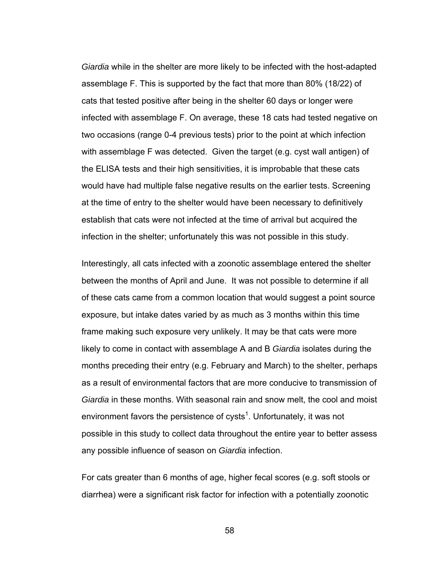*Giardia* while in the shelter are more likely to be infected with the host-adapted assemblage F. This is supported by the fact that more than 80% (18/22) of cats that tested positive after being in the shelter 60 days or longer were infected with assemblage F. On average, these 18 cats had tested negative on two occasions (range 0-4 previous tests) prior to the point at which infection with assemblage F was detected. Given the target (e.g. cyst wall antigen) of the ELISA tests and their high sensitivities, it is improbable that these cats would have had multiple false negative results on the earlier tests. Screening at the time of entry to the shelter would have been necessary to definitively establish that cats were not infected at the time of arrival but acquired the infection in the shelter; unfortunately this was not possible in this study.

Interestingly, all cats infected with a zoonotic assemblage entered the shelter between the months of April and June. It was not possible to determine if all of these cats came from a common location that would suggest a point source exposure, but intake dates varied by as much as 3 months within this time frame making such exposure very unlikely. It may be that cats were more likely to come in contact with assemblage A and B *Giardia* isolates during the months preceding their entry (e.g. February and March) to the shelter, perhaps as a result of environmental factors that are more conducive to transmission of *Giardia* in these months. With seasonal rain and snow melt, the cool and moist environment favors the persistence of cysts<sup>1</sup>. Unfortunately, it was not possible in this study to collect data throughout the entire year to better assess any possible influence of season on *Giardia* infection.

For cats greater than 6 months of age, higher fecal scores (e.g. soft stools or diarrhea) were a significant risk factor for infection with a potentially zoonotic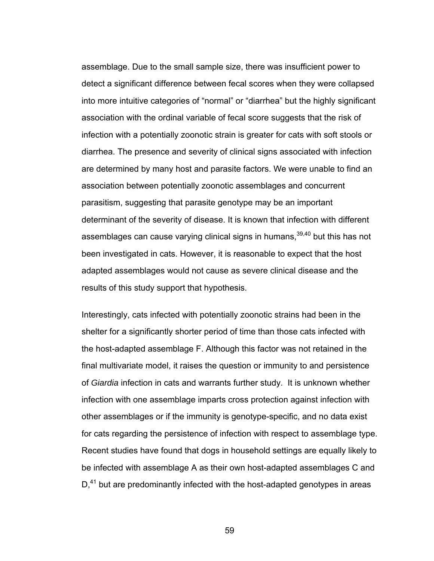assemblage. Due to the small sample size, there was insufficient power to detect a significant difference between fecal scores when they were collapsed into more intuitive categories of "normal" or "diarrhea" but the highly significant association with the ordinal variable of fecal score suggests that the risk of infection with a potentially zoonotic strain is greater for cats with soft stools or diarrhea. The presence and severity of clinical signs associated with infection are determined by many host and parasite factors. We were unable to find an association between potentially zoonotic assemblages and concurrent parasitism, suggesting that parasite genotype may be an important determinant of the severity of disease. It is known that infection with different assemblages can cause varying clinical signs in humans,<sup>39,40</sup> but this has not been investigated in cats. However, it is reasonable to expect that the host adapted assemblages would not cause as severe clinical disease and the results of this study support that hypothesis.

Interestingly, cats infected with potentially zoonotic strains had been in the shelter for a significantly shorter period of time than those cats infected with the host-adapted assemblage F. Although this factor was not retained in the final multivariate model, it raises the question or immunity to and persistence of *Giardia* infection in cats and warrants further study. It is unknown whether infection with one assemblage imparts cross protection against infection with other assemblages or if the immunity is genotype-specific, and no data exist for cats regarding the persistence of infection with respect to assemblage type. Recent studies have found that dogs in household settings are equally likely to be infected with assemblage A as their own host-adapted assemblages C and  $D<sub>1</sub><sup>41</sup>$  but are predominantly infected with the host-adapted genotypes in areas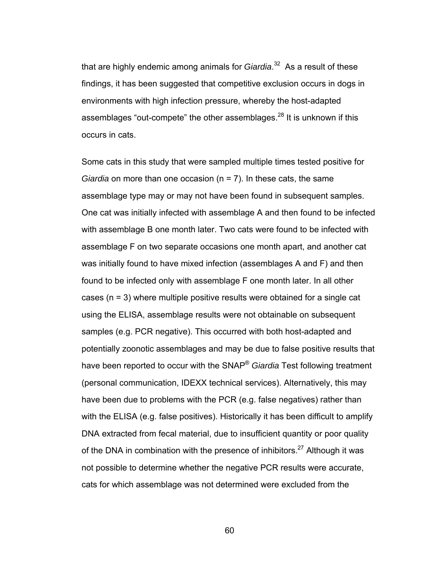that are highly endemic among animals for *Giardia*. 32 As a result of these findings, it has been suggested that competitive exclusion occurs in dogs in environments with high infection pressure, whereby the host-adapted assemblages "out-compete" the other assemblages. $^{28}$  It is unknown if this occurs in cats.

Some cats in this study that were sampled multiple times tested positive for *Giardia* on more than one occasion (n = 7). In these cats, the same assemblage type may or may not have been found in subsequent samples. One cat was initially infected with assemblage A and then found to be infected with assemblage B one month later. Two cats were found to be infected with assemblage F on two separate occasions one month apart, and another cat was initially found to have mixed infection (assemblages A and F) and then found to be infected only with assemblage F one month later. In all other cases (n = 3) where multiple positive results were obtained for a single cat using the ELISA, assemblage results were not obtainable on subsequent samples (e.g. PCR negative). This occurred with both host-adapted and potentially zoonotic assemblages and may be due to false positive results that have been reported to occur with the SNAP® *Giardia* Test following treatment (personal communication, IDEXX technical services). Alternatively, this may have been due to problems with the PCR (e.g. false negatives) rather than with the ELISA (e.g. false positives). Historically it has been difficult to amplify DNA extracted from fecal material, due to insufficient quantity or poor quality of the DNA in combination with the presence of inhibitors.<sup>27</sup> Although it was not possible to determine whether the negative PCR results were accurate, cats for which assemblage was not determined were excluded from the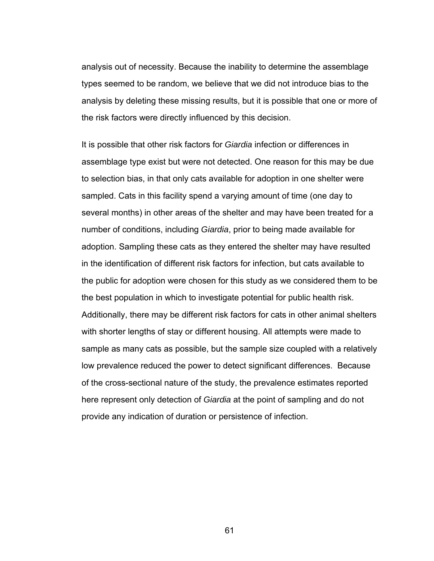analysis out of necessity. Because the inability to determine the assemblage types seemed to be random, we believe that we did not introduce bias to the analysis by deleting these missing results, but it is possible that one or more of the risk factors were directly influenced by this decision.

It is possible that other risk factors for *Giardia* infection or differences in assemblage type exist but were not detected. One reason for this may be due to selection bias, in that only cats available for adoption in one shelter were sampled. Cats in this facility spend a varying amount of time (one day to several months) in other areas of the shelter and may have been treated for a number of conditions, including *Giardia*, prior to being made available for adoption. Sampling these cats as they entered the shelter may have resulted in the identification of different risk factors for infection, but cats available to the public for adoption were chosen for this study as we considered them to be the best population in which to investigate potential for public health risk. Additionally, there may be different risk factors for cats in other animal shelters with shorter lengths of stay or different housing. All attempts were made to sample as many cats as possible, but the sample size coupled with a relatively low prevalence reduced the power to detect significant differences. Because of the cross-sectional nature of the study, the prevalence estimates reported here represent only detection of *Giardia* at the point of sampling and do not provide any indication of duration or persistence of infection.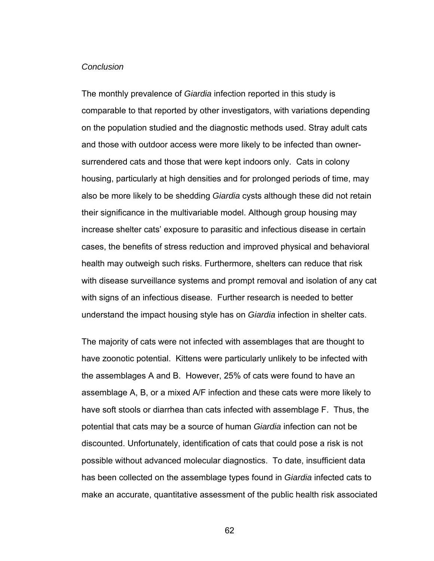## *Conclusion*

The monthly prevalence of *Giardia* infection reported in this study is comparable to that reported by other investigators, with variations depending on the population studied and the diagnostic methods used. Stray adult cats and those with outdoor access were more likely to be infected than ownersurrendered cats and those that were kept indoors only. Cats in colony housing, particularly at high densities and for prolonged periods of time, may also be more likely to be shedding *Giardia* cysts although these did not retain their significance in the multivariable model. Although group housing may increase shelter cats' exposure to parasitic and infectious disease in certain cases, the benefits of stress reduction and improved physical and behavioral health may outweigh such risks. Furthermore, shelters can reduce that risk with disease surveillance systems and prompt removal and isolation of any cat with signs of an infectious disease. Further research is needed to better understand the impact housing style has on *Giardia* infection in shelter cats.

The majority of cats were not infected with assemblages that are thought to have zoonotic potential. Kittens were particularly unlikely to be infected with the assemblages A and B. However, 25% of cats were found to have an assemblage A, B, or a mixed A/F infection and these cats were more likely to have soft stools or diarrhea than cats infected with assemblage F. Thus, the potential that cats may be a source of human *Giardia* infection can not be discounted. Unfortunately, identification of cats that could pose a risk is not possible without advanced molecular diagnostics. To date, insufficient data has been collected on the assemblage types found in *Giardia* infected cats to make an accurate, quantitative assessment of the public health risk associated

62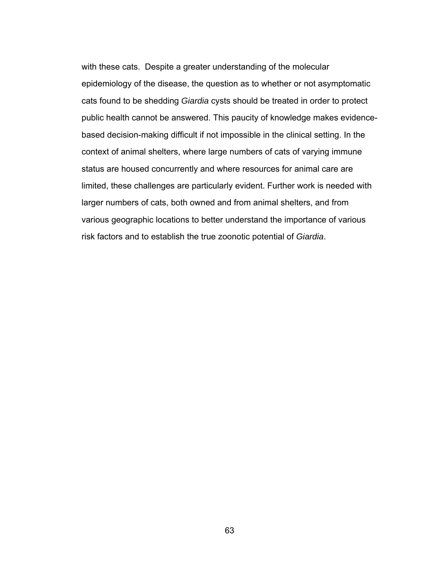with these cats. Despite a greater understanding of the molecular epidemiology of the disease, the question as to whether or not asymptomatic cats found to be shedding *Giardia* cysts should be treated in order to protect public health cannot be answered. This paucity of knowledge makes evidencebased decision-making difficult if not impossible in the clinical setting. In the context of animal shelters, where large numbers of cats of varying immune status are housed concurrently and where resources for animal care are limited, these challenges are particularly evident. Further work is needed with larger numbers of cats, both owned and from animal shelters, and from various geographic locations to better understand the importance of various risk factors and to establish the true zoonotic potential of *Giardia*.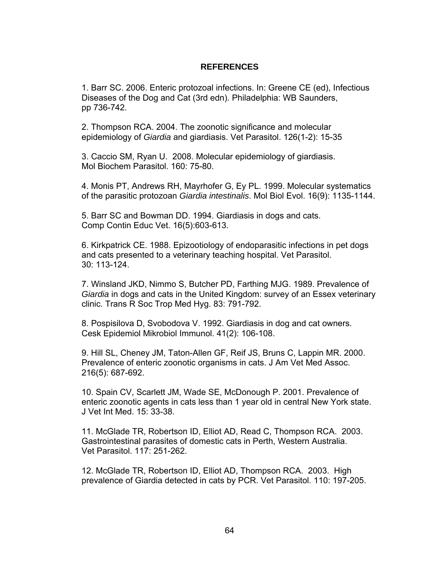## **REFERENCES**

1. Barr SC. 2006. Enteric protozoal infections. In: Greene CE (ed), Infectious Diseases of the Dog and Cat (3rd edn). Philadelphia: WB Saunders, pp 736-742.

2. Thompson RCA. 2004. The zoonotic significance and molecular epidemiology of *Giardia* and giardiasis. Vet Parasitol. 126(1-2): 15-35

3. Caccio SM, Ryan U. 2008. Molecular epidemiology of giardiasis. Mol Biochem Parasitol. 160: 75-80.

4. Monis PT, Andrews RH, Mayrhofer G, Ey PL. 1999. Molecular systematics of the parasitic protozoan *Giardia intestinalis*. Mol Biol Evol. 16(9): 1135-1144.

5. Barr SC and Bowman DD. 1994. Giardiasis in dogs and cats. Comp Contin Educ Vet. 16(5):603-613.

6. Kirkpatrick CE. 1988. Epizootiology of endoparasitic infections in pet dogs and cats presented to a veterinary teaching hospital. Vet Parasitol. 30: 113-124.

7. Winsland JKD, Nimmo S, Butcher PD, Farthing MJG. 1989. Prevalence of *Giardia* in dogs and cats in the United Kingdom: survey of an Essex veterinary clinic. Trans R Soc Trop Med Hyg. 83: 791-792.

8. Pospisilova D, Svobodova V. 1992. Giardiasis in dog and cat owners. Cesk Epidemiol Mikrobiol Immunol. 41(2): 106-108.

9. Hill SL, Cheney JM, Taton-Allen GF, Reif JS, Bruns C, Lappin MR. 2000. Prevalence of enteric zoonotic organisms in cats. J Am Vet Med Assoc. 216(5): 687-692.

10. Spain CV, Scarlett JM, Wade SE, McDonough P. 2001. Prevalence of enteric zoonotic agents in cats less than 1 year old in central New York state. J Vet Int Med. 15: 33-38.

11. McGlade TR, Robertson ID, Elliot AD, Read C, Thompson RCA. 2003. Gastrointestinal parasites of domestic cats in Perth, Western Australia. Vet Parasitol. 117: 251-262.

12. McGlade TR, Robertson ID, Elliot AD, Thompson RCA. 2003. High prevalence of Giardia detected in cats by PCR. Vet Parasitol. 110: 197-205.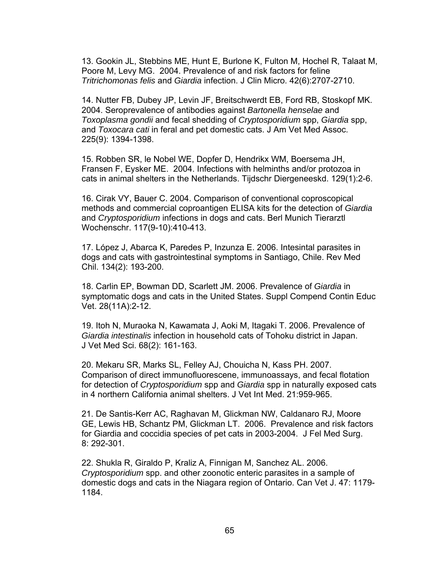13. Gookin JL, Stebbins ME, Hunt E, Burlone K, Fulton M, Hochel R, Talaat M, Poore M, Levy MG. 2004. Prevalence of and risk factors for feline *Tritrichomonas felis* and *Giardia* infection. J Clin Micro. 42(6):2707-2710.

14. Nutter FB, Dubey JP, Levin JF, Breitschwerdt EB, Ford RB, Stoskopf MK. 2004. Seroprevalence of antibodies against *Bartonella henselae* and *Toxoplasma gondii* and fecal shedding of *Cryptosporidium* spp, *Giardia* spp, and *Toxocara cati* in feral and pet domestic cats. J Am Vet Med Assoc. 225(9): 1394-1398.

15. Robben SR, le Nobel WE, Dopfer D, Hendrikx WM, Boersema JH, Fransen F, Eysker ME. 2004. Infections with helminths and/or protozoa in cats in animal shelters in the Netherlands. Tijdschr Diergeneeskd. 129(1):2-6.

16. Cirak VY, Bauer C. 2004. Comparison of conventional coproscopical methods and commercial coproantigen ELISA kits for the detection of *Giardia* and *Cryptosporidium* infections in dogs and cats. Berl Munich Tierarztl Wochenschr. 117(9-10):410-413.

17. López J, Abarca K, Paredes P, Inzunza E. 2006. Intesintal parasites in dogs and cats with gastrointestinal symptoms in Santiago, Chile. Rev Med Chil. 134(2): 193-200.

18. Carlin EP, Bowman DD, Scarlett JM. 2006. Prevalence of *Giardia* in symptomatic dogs and cats in the United States. Suppl Compend Contin Educ Vet. 28(11A):2-12.

19. Itoh N, Muraoka N, Kawamata J, Aoki M, Itagaki T. 2006. Prevalence of *Giardia intestinalis* infection in household cats of Tohoku district in Japan. J Vet Med Sci. 68(2): 161-163.

20. Mekaru SR, Marks SL, Felley AJ, Chouicha N, Kass PH. 2007. Comparison of direct immunofluorescene, immunoassays, and fecal flotation for detection of *Cryptosporidium* spp and *Giardia* spp in naturally exposed cats in 4 northern California animal shelters. J Vet Int Med. 21:959-965.

21. De Santis-Kerr AC, Raghavan M, Glickman NW, Caldanaro RJ, Moore GE, Lewis HB, Schantz PM, Glickman LT. 2006. Prevalence and risk factors for Giardia and coccidia species of pet cats in 2003-2004. J Fel Med Surg. 8: 292-301.

22. Shukla R, Giraldo P, Kraliz A, Finnigan M, Sanchez AL. 2006. *Cryptosporidium* spp. and other zoonotic enteric parasites in a sample of domestic dogs and cats in the Niagara region of Ontario. Can Vet J. 47: 1179- 1184.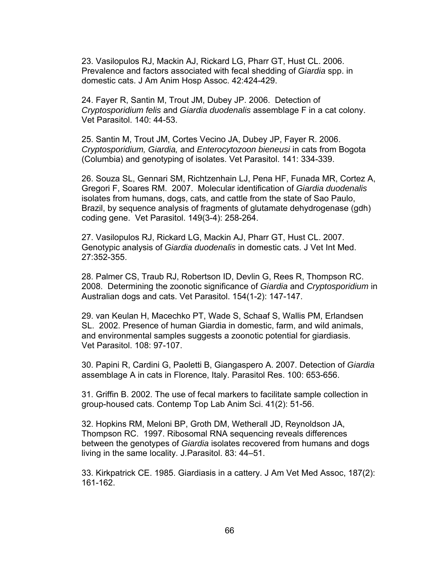23. Vasilopulos RJ, Mackin AJ, Rickard LG, Pharr GT, Hust CL. 2006. Prevalence and factors associated with fecal shedding of *Giardia* spp. in domestic cats. J Am Anim Hosp Assoc. 42:424-429.

24. Fayer R, Santin M, Trout JM, Dubey JP. 2006. Detection of *Cryptosporidium felis* and *Giardia duodenalis* assemblage F in a cat colony. Vet Parasitol. 140: 44-53.

25. Santin M, Trout JM, Cortes Vecino JA, Dubey JP, Fayer R. 2006. *Cryptosporidium, Giardia,* and *Enterocytozoon bieneusi* in cats from Bogota (Columbia) and genotyping of isolates. Vet Parasitol. 141: 334-339.

26. Souza SL, Gennari SM, Richtzenhain LJ, Pena HF, Funada MR, Cortez A, Gregori F, Soares RM. 2007. Molecular identification of *Giardia duodenalis* isolates from humans, dogs, cats, and cattle from the state of Sao Paulo, Brazil, by sequence analysis of fragments of glutamate dehydrogenase (gdh) coding gene. Vet Parasitol. 149(3-4): 258-264.

27. Vasilopulos RJ, Rickard LG, Mackin AJ, Pharr GT, Hust CL. 2007. Genotypic analysis of *Giardia duodenalis* in domestic cats. J Vet Int Med. 27:352-355.

28. Palmer CS, Traub RJ, Robertson ID, Devlin G, Rees R, Thompson RC. 2008. Determining the zoonotic significance of *Giardia* and *Cryptosporidium* in Australian dogs and cats. Vet Parasitol. 154(1-2): 147-147.

29. van Keulan H, Macechko PT, Wade S, Schaaf S, Wallis PM, Erlandsen SL. 2002. Presence of human Giardia in domestic, farm, and wild animals, and environmental samples suggests a zoonotic potential for giardiasis. Vet Parasitol. 108: 97-107.

30. Papini R, Cardini G, Paoletti B, Giangaspero A. 2007. Detection of *Giardia*  assemblage A in cats in Florence, Italy. Parasitol Res. 100: 653-656.

31. Griffin B. 2002. The use of fecal markers to facilitate sample collection in group-housed cats. Contemp Top Lab Anim Sci. 41(2): 51-56.

32. Hopkins RM, Meloni BP, Groth DM, Wetherall JD, Reynoldson JA, Thompson RC. 1997. Ribosomal RNA sequencing reveals differences between the genotypes of *Giardia* isolates recovered from humans and dogs living in the same locality. J.Parasitol. 83: 44–51.

33. Kirkpatrick CE. 1985. Giardiasis in a cattery. J Am Vet Med Assoc, 187(2): 161-162.